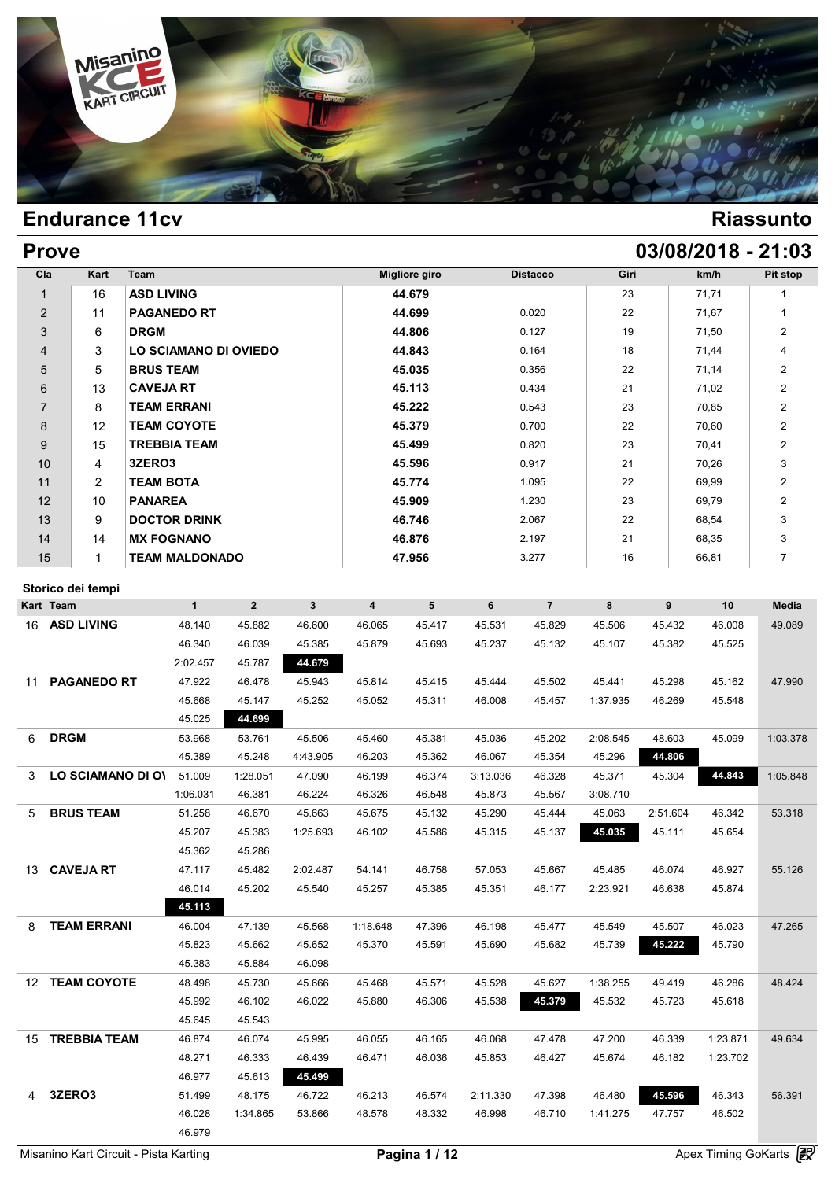

| <b>Prove</b>   |                   |                       |               |                 |      | 03/08/2018 - 21:03 |                |
|----------------|-------------------|-----------------------|---------------|-----------------|------|--------------------|----------------|
| Cla            | Kart              | Team                  | Migliore giro | <b>Distacco</b> | Giri | km/h               | Pit stop       |
| $\mathbf{1}$   | 16                | <b>ASD LIVING</b>     | 44.679        |                 | 23   | 71,71              | 1              |
| $\overline{2}$ | 11                | <b>PAGANEDO RT</b>    | 44.699        | 0.020           | 22   | 71,67              | 1              |
| 3              | 6                 | <b>DRGM</b>           | 44.806        | 0.127           | 19   | 71,50              | $\overline{2}$ |
| 4              | 3                 | LO SCIAMANO DI OVIEDO | 44.843        | 0.164           | 18   | 71,44              | $\overline{4}$ |
| 5              | 5                 | <b>BRUS TEAM</b>      | 45.035        | 0.356           | 22   | 71,14              | $\overline{2}$ |
| 6              | 13                | <b>CAVEJA RT</b>      | 45.113        | 0.434           | 21   | 71,02              | 2              |
| $\overline{7}$ | 8                 | <b>TEAM ERRANI</b>    | 45.222        | 0.543           | 23   | 70,85              | $\overline{2}$ |
| 8              | $12 \overline{ }$ | <b>TEAM COYOTE</b>    | 45.379        | 0.700           | 22   | 70,60              | $\overline{2}$ |
| 9              | 15                | <b>TREBBIA TEAM</b>   | 45.499        | 0.820           | 23   | 70,41              | $\overline{2}$ |
| 10             | 4                 | 3ZERO3                | 45.596        | 0.917           | 21   | 70,26              | 3              |
| 11             | $\overline{2}$    | <b>TEAM BOTA</b>      | 45.774        | 1.095           | 22   | 69,99              | $\overline{2}$ |
| 12             | 10                | <b>PANAREA</b>        | 45.909        | 1.230           | 23   | 69,79              | $\overline{2}$ |
| 13             | 9                 | <b>DOCTOR DRINK</b>   | 46.746        | 2.067           | 22   | 68,54              | 3              |
| 14             | 14                | <b>MX FOGNANO</b>     | 46.876        | 2.197           | 21   | 68,35              | 3              |
| 15             | 1                 | <b>TEAM MALDONADO</b> | 47.956        | 3.277           | 16   | 66,81              | $\overline{7}$ |

## **Storico dei tempi**

| Kart Team                              | $\mathbf{1}$ | $\overline{2}$ | $\mathbf{3}$ | $\overline{\mathbf{4}}$ | 5      | 6        | $\overline{7}$ | 8        | 9        | 10       | <b>Media</b> |
|----------------------------------------|--------------|----------------|--------------|-------------------------|--------|----------|----------------|----------|----------|----------|--------------|
| <b>ASD LIVING</b><br>16                | 48.140       | 45.882         | 46.600       | 46.065                  | 45.417 | 45.531   | 45.829         | 45.506   | 45.432   | 46.008   | 49.089       |
|                                        | 46.340       | 46.039         | 45.385       | 45.879                  | 45.693 | 45.237   | 45.132         | 45.107   | 45.382   | 45.525   |              |
|                                        | 2:02.457     | 45.787         | 44.679       |                         |        |          |                |          |          |          |              |
| <b>PAGANEDO RT</b><br>11               | 47.922       | 46.478         | 45.943       | 45.814                  | 45.415 | 45.444   | 45.502         | 45.441   | 45.298   | 45.162   | 47.990       |
|                                        | 45.668       | 45.147         | 45.252       | 45.052                  | 45.311 | 46.008   | 45.457         | 1:37.935 | 46.269   | 45.548   |              |
|                                        | 45.025       | 44.699         |              |                         |        |          |                |          |          |          |              |
| <b>DRGM</b><br>6                       | 53.968       | 53.761         | 45.506       | 45.460                  | 45.381 | 45.036   | 45.202         | 2:08.545 | 48.603   | 45.099   | 1:03.378     |
|                                        | 45.389       | 45.248         | 4:43.905     | 46.203                  | 45.362 | 46.067   | 45.354         | 45.296   | 44.806   |          |              |
| LO SCIAMANO DI OV<br>3                 | 51.009       | 1:28.051       | 47.090       | 46.199                  | 46.374 | 3:13.036 | 46.328         | 45.371   | 45.304   | 44.843   | 1:05.848     |
|                                        | 1:06.031     | 46.381         | 46.224       | 46.326                  | 46.548 | 45.873   | 45.567         | 3:08.710 |          |          |              |
| <b>BRUS TEAM</b><br>5                  | 51.258       | 46.670         | 45.663       | 45.675                  | 45.132 | 45.290   | 45.444         | 45.063   | 2:51.604 | 46.342   | 53.318       |
|                                        | 45.207       | 45.383         | 1:25.693     | 46.102                  | 45.586 | 45.315   | 45.137         | 45.035   | 45.111   | 45.654   |              |
|                                        | 45.362       | 45.286         |              |                         |        |          |                |          |          |          |              |
| <b>CAVEJA RT</b><br>13                 | 47.117       | 45.482         | 2:02.487     | 54.141                  | 46.758 | 57.053   | 45.667         | 45.485   | 46.074   | 46.927   | 55.126       |
|                                        | 46.014       | 45.202         | 45.540       | 45.257                  | 45.385 | 45.351   | 46.177         | 2:23.921 | 46.638   | 45.874   |              |
|                                        | 45.113       |                |              |                         |        |          |                |          |          |          |              |
| <b>TEAM ERRANI</b><br>8                | 46.004       | 47.139         | 45.568       | 1:18.648                | 47.396 | 46.198   | 45.477         | 45.549   | 45.507   | 46.023   | 47.265       |
|                                        | 45.823       | 45.662         | 45.652       | 45.370                  | 45.591 | 45.690   | 45.682         | 45.739   | 45.222   | 45.790   |              |
|                                        | 45.383       | 45.884         | 46.098       |                         |        |          |                |          |          |          |              |
| <b>TEAM COYOTE</b><br>12 <sup>12</sup> | 48.498       | 45.730         | 45.666       | 45.468                  | 45.571 | 45.528   | 45.627         | 1:38.255 | 49.419   | 46.286   | 48.424       |
|                                        | 45.992       | 46.102         | 46.022       | 45.880                  | 46.306 | 45.538   | 45.379         | 45.532   | 45.723   | 45.618   |              |
|                                        | 45.645       | 45.543         |              |                         |        |          |                |          |          |          |              |
| <b>TREBBIA TEAM</b><br>15              | 46.874       | 46.074         | 45.995       | 46.055                  | 46.165 | 46.068   | 47.478         | 47.200   | 46.339   | 1:23.871 | 49.634       |
|                                        | 48.271       | 46.333         | 46.439       | 46.471                  | 46.036 | 45.853   | 46.427         | 45.674   | 46.182   | 1:23.702 |              |
|                                        | 46.977       | 45.613         | 45.499       |                         |        |          |                |          |          |          |              |
| 3ZERO3<br>4                            | 51.499       | 48.175         | 46.722       | 46.213                  | 46.574 | 2:11.330 | 47.398         | 46.480   | 45.596   | 46.343   | 56.391       |
|                                        | 46.028       | 1:34.865       | 53.866       | 48.578                  | 48.332 | 46.998   | 46.710         | 1:41.275 | 47.757   | 46.502   |              |
|                                        | 46.979       |                |              |                         |        |          |                |          |          |          |              |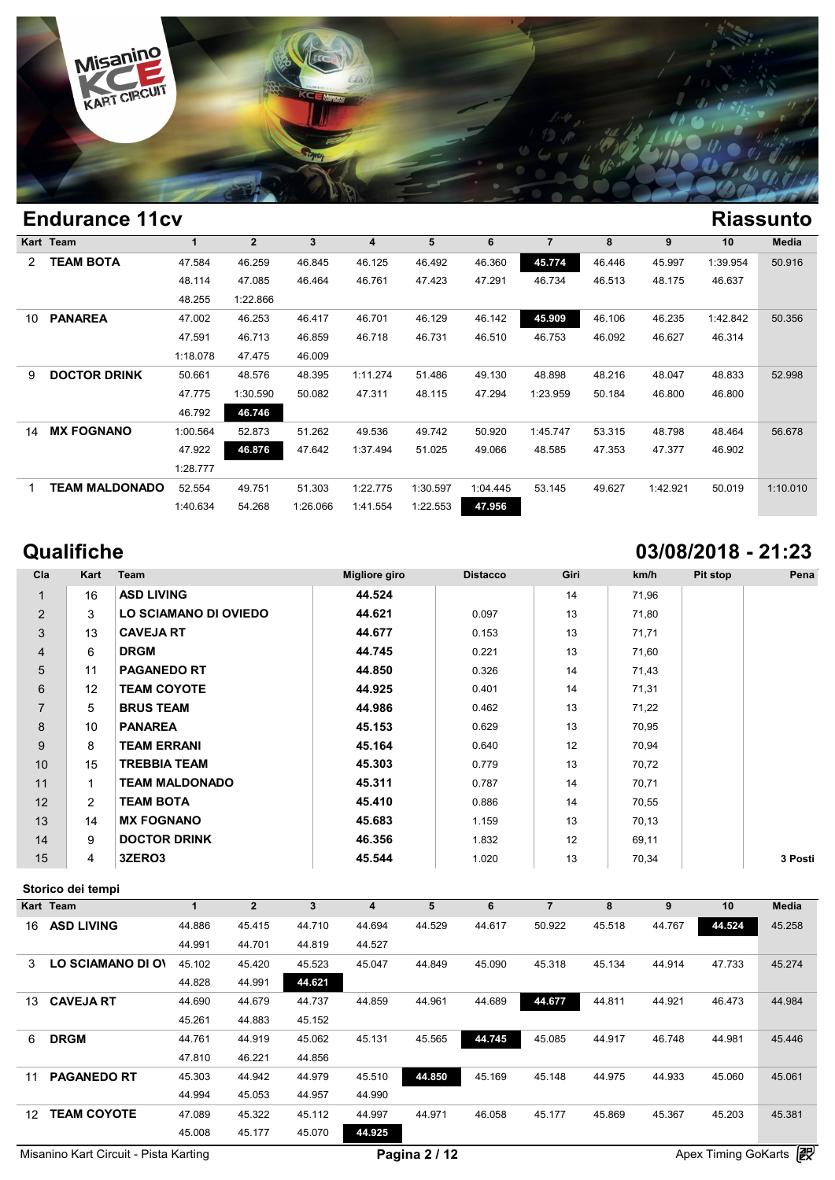

|    | Eliuulalice Ticv      |          |                |          |          |          |          |                |        |          |          | маээини  |
|----|-----------------------|----------|----------------|----------|----------|----------|----------|----------------|--------|----------|----------|----------|
|    | Kart Team             |          | $\overline{2}$ | 3        | 4        | 5        | 6        | $\overline{7}$ | 8      | 9        | 10       | Media    |
| 2  | <b>TEAM BOTA</b>      | 47.584   | 46.259         | 46.845   | 46.125   | 46.492   | 46.360   | 45.774         | 46.446 | 45.997   | 1:39.954 | 50.916   |
|    |                       | 48.114   | 47.085         | 46.464   | 46.761   | 47.423   | 47.291   | 46.734         | 46.513 | 48.175   | 46.637   |          |
|    |                       | 48.255   | 1:22.866       |          |          |          |          |                |        |          |          |          |
| 10 | <b>PANAREA</b>        | 47.002   | 46.253         | 46.417   | 46.701   | 46.129   | 46.142   | 45.909         | 46.106 | 46.235   | 1:42.842 | 50.356   |
|    |                       | 47.591   | 46.713         | 46.859   | 46.718   | 46.731   | 46.510   | 46.753         | 46.092 | 46.627   | 46.314   |          |
|    |                       | 1:18.078 | 47.475         | 46.009   |          |          |          |                |        |          |          |          |
| 9  | <b>DOCTOR DRINK</b>   | 50.661   | 48.576         | 48.395   | 1:11.274 | 51.486   | 49.130   | 48.898         | 48.216 | 48.047   | 48.833   | 52.998   |
|    |                       | 47.775   | 1:30.590       | 50.082   | 47.311   | 48.115   | 47.294   | 1:23.959       | 50.184 | 46.800   | 46.800   |          |
|    |                       | 46.792   | 46.746         |          |          |          |          |                |        |          |          |          |
| 14 | <b>MX FOGNANO</b>     | 1:00.564 | 52.873         | 51.262   | 49.536   | 49.742   | 50.920   | 1:45.747       | 53.315 | 48.798   | 48.464   | 56.678   |
|    |                       | 47.922   | 46.876         | 47.642   | 1:37.494 | 51.025   | 49.066   | 48.585         | 47.353 | 47.377   | 46.902   |          |
|    |                       | 1:28.777 |                |          |          |          |          |                |        |          |          |          |
|    | <b>TEAM MALDONADO</b> | 52.554   | 49.751         | 51.303   | 1:22.775 | 1:30.597 | 1:04.445 | 53.145         | 49.627 | 1:42.921 | 50.019   | 1:10.010 |
|    |                       | 1:40.634 | 54.268         | 1:26.066 | 1:41.554 | 1:22.553 | 47.956   |                |        |          |          |          |

# **Qualifiche 03/08/2018 - 21:23**

| Cla            | Kart           | Team                  | Migliore giro | <b>Distacco</b> | Giri | km/h  | Pit stop | Pena    |
|----------------|----------------|-----------------------|---------------|-----------------|------|-------|----------|---------|
| 1              | 16             | <b>ASD LIVING</b>     | 44.524        |                 | 14   | 71,96 |          |         |
| $\overline{2}$ | 3              | LO SCIAMANO DI OVIEDO | 44.621        | 0.097           | 13   | 71,80 |          |         |
| 3              | 13             | <b>CAVEJA RT</b>      | 44.677        | 0.153           | 13   | 71,71 |          |         |
| $\overline{4}$ | 6              | <b>DRGM</b>           | 44.745        | 0.221           | 13   | 71,60 |          |         |
| 5              | 11             | <b>PAGANEDO RT</b>    | 44.850        | 0.326           | 14   | 71,43 |          |         |
| 6              | 12             | <b>TEAM COYOTE</b>    | 44.925        | 0.401           | 14   | 71,31 |          |         |
| $\overline{7}$ | 5              | <b>BRUS TEAM</b>      | 44.986        | 0.462           | 13   | 71,22 |          |         |
| 8              | 10             | <b>PANAREA</b>        | 45.153        | 0.629           | 13   | 70,95 |          |         |
| 9              | 8              | <b>TEAM ERRANI</b>    | 45.164        | 0.640           | 12   | 70,94 |          |         |
| 10             | 15             | <b>TREBBIA TEAM</b>   | 45.303        | 0.779           | 13   | 70,72 |          |         |
| 11             | $\mathbf{1}$   | <b>TEAM MALDONADO</b> | 45.311        | 0.787           | 14   | 70,71 |          |         |
| 12             | $\overline{2}$ | <b>TEAM BOTA</b>      | 45.410        | 0.886           | 14   | 70,55 |          |         |
| 13             | 14             | <b>MX FOGNANO</b>     | 45.683        | 1.159           | 13   | 70,13 |          |         |
| 14             | 9              | <b>DOCTOR DRINK</b>   | 46.356        | 1.832           | 12   | 69,11 |          |         |
| 15             | 4              | 3ZERO3                | 45.544        | 1.020           | 13   | 70,34 |          | 3 Posti |

## **Storico dei tempi**

|                 | Storico dei tempi  |        |                |        |        |        |        |        |        |                      |                |        |
|-----------------|--------------------|--------|----------------|--------|--------|--------|--------|--------|--------|----------------------|----------------|--------|
|                 | Kart Team          | 1      | $\overline{2}$ | 3      | 4      | 5      | 6      | 7      | 8      | 9                    | 10             | Media  |
| 16              | <b>ASD LIVING</b>  | 44.886 | 45.415         | 44.710 | 44.694 | 44.529 | 44.617 | 50.922 | 45.518 | 44.767               | 44.524         | 45.258 |
|                 |                    | 44.991 | 44.701         | 44.819 | 44.527 |        |        |        |        |                      |                |        |
| 3               | LO SCIAMANO DI OV  | 45.102 | 45.420         | 45.523 | 45.047 | 44.849 | 45.090 | 45.318 | 45.134 | 44.914               | 47.733         | 45.274 |
|                 |                    | 44.828 | 44.991         | 44.621 |        |        |        |        |        |                      |                |        |
| 13 <sup>1</sup> | <b>CAVEJA RT</b>   | 44.690 | 44.679         | 44.737 | 44.859 | 44.961 | 44.689 | 44.677 | 44.811 | 44.921               | 46.473         | 44.984 |
|                 |                    | 45.261 | 44.883         | 45.152 |        |        |        |        |        |                      |                |        |
| 6               | <b>DRGM</b>        | 44.761 | 44.919         | 45.062 | 45.131 | 45.565 | 44.745 | 45.085 | 44.917 | 46.748               | 44.981         | 45.446 |
|                 |                    | 47.810 | 46.221         | 44.856 |        |        |        |        |        |                      |                |        |
| 11              | <b>PAGANEDO RT</b> | 45.303 | 44.942         | 44.979 | 45.510 | 44.850 | 45.169 | 45.148 | 44.975 | 44.933               | 45.060         | 45.061 |
|                 |                    | 44.994 | 45.053         | 44.957 | 44.990 |        |        |        |        |                      |                |        |
| 12 <sup>°</sup> | <b>TEAM COYOTE</b> | 47.089 | 45.322         | 45.112 | 44.997 | 44.971 | 46.058 | 45.177 | 45.869 | 45.367               | 45.203         | 45.381 |
|                 |                    | 45.008 | 45.177         | 45.070 | 44.925 |        |        |        |        |                      |                |        |
|                 |                    |        |                |        |        | - -    |        |        |        | $\sim$ $\sim$ $\sim$ | $-1$ $-1$ $-1$ | æ      |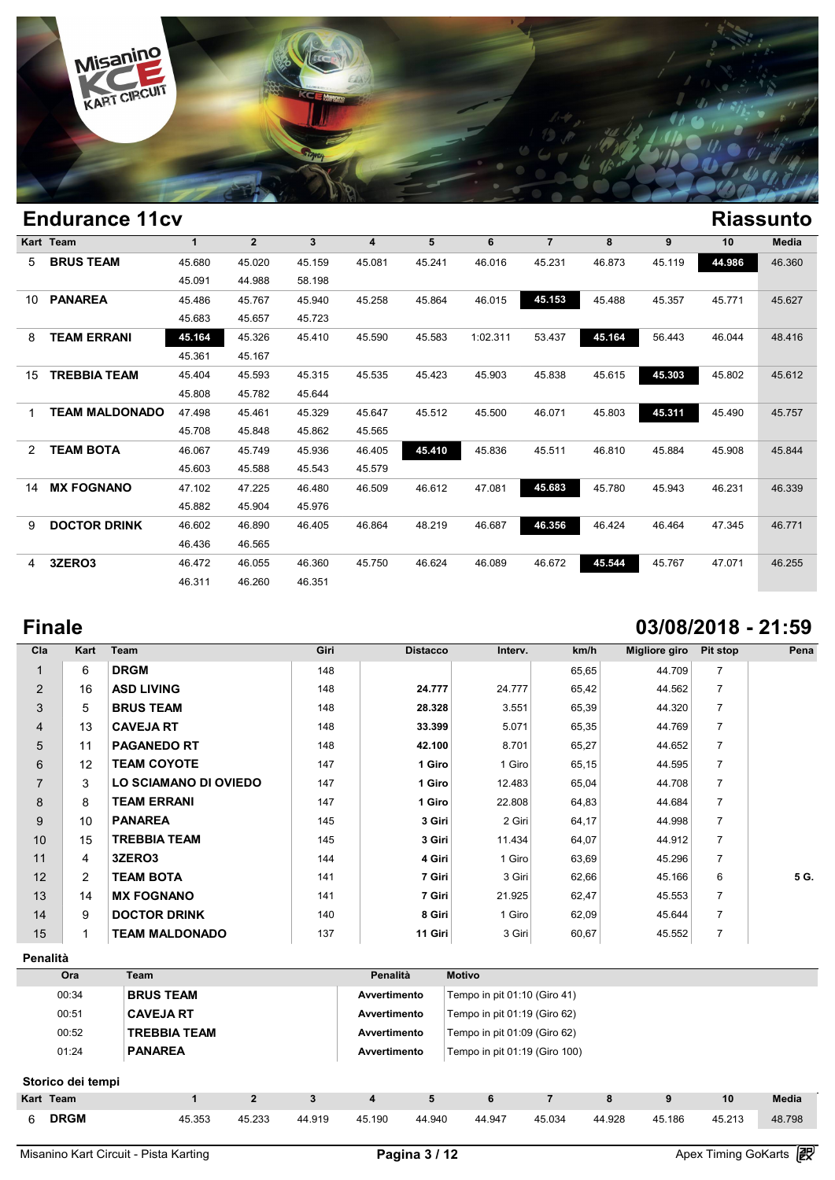

## **Endurance 11cv Riassunto Kart Team 1 2 3 4 5 6 7 8 9 10 Media** 5 **BRUS TEAM** 45.680 45.020 45.159 45.081 45.241 46.016 45.231 46.873 45.119 **44.986** 46.360  $\begin{array}{cccccc} \n1 & 2 & 3 & 4 \\
\hline\n45.680 & 45.020 & 45.159 & 45.08 \\
\hline\n45.091 & 44.988 & 58.198 \\
\hline\n45.486 & 45.767 & 45.040 & 45.2\n\end{array}$ 10 **PANAREA** 45.486 45.767 45.940 45.258 45.864 46.015 **45.153** 45.488 45.357 45.771 45.627 45.680 45.020 45.159 45.03<br>45.091 44.988 58.198<br>45.486 45.767 45.940 45.29<br>45.683 45.657 45.723 8 **TEAM ERRANI 45.164** 45.326 45.410 45.590 45.583 1:02.311 53.437 **45.164** 56.443 46.044 48.416 45.486 45.767 45.94<br>45.683 45.657 45.77<br>45.164 45.326 45.4<br>45.361 45.167 15 **TREBBIA TEAM** 45.404 45.593 45.315 45.535 45.423 45.903 45.838 45.615 **45.303** 45.802 45.612 45.164 45.326 45.410 45.5<br>45.361 45.167<br>45.404 45.593 45.315 45.5<br>45.808 45.782 45.644 1 **TEAM MALDONADO** 47.498 45.461 45.329 45.647 45.512 45.500 46.071 45.803 **45.311** 45.490 45.757 45.404 45.593 45.315 45.535 45.42<br>45.808 45.782 45.644<br>47.498 45.461 45.329 45.647 45.5<br>45.708 45.848 45.862 45.565 2 **TEAM BOTA** 46.067 45.749 45.936 46.405 **45.410** 45.836 45.511 46.810 45.884 45.908 45.844 47.498 45.461 45.329 45.647 45.5<br>45.708 45.848 45.862 45.565<br>46.067 45.749 45.936 46.405 45.41<br>45.603 45.588 45.543 45.579 14 **MX FOGNANO** 47.102 47.225 46.480 46.509 46.612 47.081 **45.683** 45.780 45.943 46.231 46.339 46.067 45.749 45.936 46.44<br>45.603 45.588 45.543 45.5<br>47.102 47.225 46.480 46.54<br>45.882 45.904 45.976 9 **DOCTOR DRINK** 46.602 46.890 46.405 46.864 48.219 46.687 **46.356** 46.424 46.464 47.345 46.771 47.102 47.225 46.48<br>45.882 45.904 45.9<br>46.602 46.890 46.44<br>46.436 46.565 4 **3ZERO3** 46.472 46.055 46.360 45.750 46.624 46.089 46.672 **45.544** 45.767 47.071 46.255 46.602 46.890 46.405 46.8<br>
46.436 46.565<br>
46.472 46.055 46.360 45.7<br>
46.311 46.260 46.351

## **Finale 03/08/2018 - 21:59**

| Cla            | Kart              | Team                  | Giri | <b>Distacco</b> | Interv. | km/h  | Migliore giro | Pit stop       | Pena |
|----------------|-------------------|-----------------------|------|-----------------|---------|-------|---------------|----------------|------|
| $\mathbf{1}$   | 6                 | <b>DRGM</b>           | 148  |                 |         | 65,65 | 44.709        | $\overline{7}$ |      |
| 2              | 16                | <b>ASD LIVING</b>     | 148  | 24.777          | 24.777  | 65,42 | 44.562        | $\overline{7}$ |      |
| 3              | 5                 | <b>BRUS TEAM</b>      | 148  | 28.328          | 3.551   | 65,39 | 44.320        | $\overline{7}$ |      |
| 4              | 13                | <b>CAVEJA RT</b>      | 148  | 33.399          | 5.071   | 65,35 | 44.769        | $\overline{7}$ |      |
| 5              | 11                | <b>PAGANEDO RT</b>    | 148  | 42.100          | 8.701   | 65,27 | 44.652        | $\overline{7}$ |      |
| 6              | $12 \overline{ }$ | <b>TEAM COYOTE</b>    | 147  | 1 Giro          | 1 Giro  | 65,15 | 44.595        | $\overline{7}$ |      |
| $\overline{7}$ | 3                 | LO SCIAMANO DI OVIEDO | 147  | 1 Giro          | 12.483  | 65,04 | 44.708        | $\overline{7}$ |      |
| 8              | 8                 | <b>TEAM ERRANI</b>    | 147  | 1 Giro          | 22.808  | 64,83 | 44.684        | $\overline{7}$ |      |
| 9              | 10                | <b>PANAREA</b>        | 145  | 3 Giri          | 2 Giri  | 64,17 | 44.998        | $\overline{7}$ |      |
| 10             | 15                | <b>TREBBIA TEAM</b>   | 145  | 3 Giri          | 11.434  | 64,07 | 44.912        | $\overline{7}$ |      |
| 11             | 4                 | 3ZERO3                | 144  | 4 Giri          | 1 Giro  | 63,69 | 45.296        | $\overline{7}$ |      |
| 12             | $\overline{2}$    | <b>TEAM BOTA</b>      | 141  | 7 Giri          | 3 Giri  | 62,66 | 45.166        | 6              | 5 G. |
| 13             | 14                | <b>MX FOGNANO</b>     | 141  | 7 Giri          | 21.925  | 62,47 | 45.553        | $\overline{7}$ |      |
| 14             | 9                 | <b>DOCTOR DRINK</b>   | 140  | 8 Giri          | 1 Giro  | 62,09 | 45.644        | $\overline{7}$ |      |
| 15             |                   | TEAM MALDONADO        | 137  | 11 Giri         | 3 Giri  | 60,67 | 45.552        | $\overline{7}$ |      |

**Penalità**

| Ora   | Team                | Penalità     | <b>Motivo</b>                  |
|-------|---------------------|--------------|--------------------------------|
| 00:34 | <b>BRUS TEAM</b>    | Avvertimento | Tempo in pit $01:10$ (Giro 41) |
| 00:51 | <b>CAVEJA RT</b>    | Avvertimento | Tempo in pit $01:19$ (Giro 62) |
| 00:52 | <b>TREBBIA TEAM</b> | Avvertimento | Tempo in pit 01:09 (Giro 62)   |
| 01:24 | <b>PANAREA</b>      | Avvertimento | Tempo in pit 01:19 (Giro 100)  |

## **Storico dei tempi**

|   | Storico dei tempi |        |        |        |        |        |        |        |        |        |        |        |
|---|-------------------|--------|--------|--------|--------|--------|--------|--------|--------|--------|--------|--------|
|   | Kart Team         |        |        |        |        | 5      | 6      |        | 8      |        | 10     | Media  |
| 6 | <b>DRGM</b>       | 45.353 | 45.233 | 44.919 | 45.190 | 44.940 | 44.947 | 45.034 | 44.928 | 45.186 | 45.213 | 48.798 |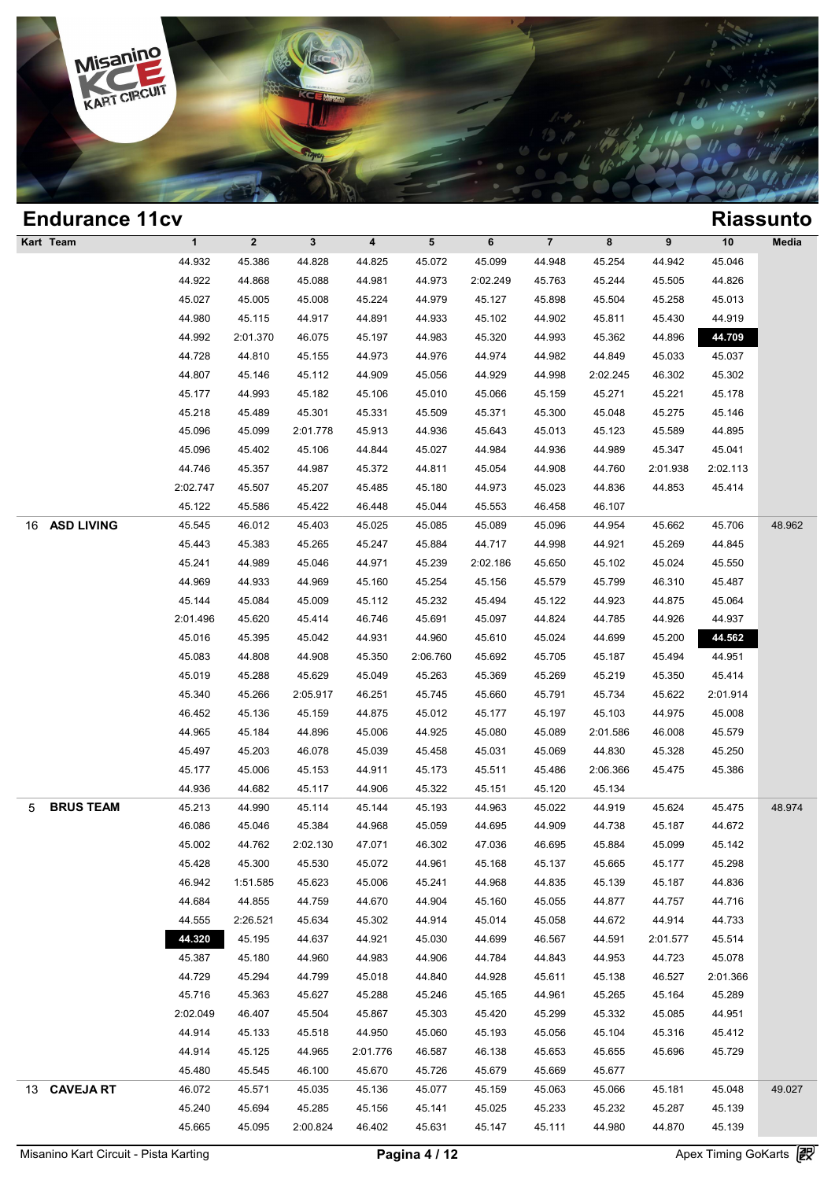

## **Endurance 11cv Riassunto Kart Team 1 2 3 4 5 6 7 8 9 10 Media 1**<br>
1 2 3 4 5 6 7 8 9 10 Med<br>
44.932 45.386 44.828 44.825 45.072 45.099 44.948 45.254 44.942 45.046<br>
44.932 44.869 45.089 44.923 3:02.340 45.763 45.344 45.555 44.936 1 2 3 4 5 6 7 8 9 10 Med<br>44.932 45.386 44.828 44.825 45.072 45.099 44.948 45.254 44.942 45.046<br>44.922 44.868 45.088 44.981 44.973 2:02.249 45.763 45.244 45.505 44.826<br>45.027 45.005 45.008 45.224 44.970 45.127 45.908 45.504 1 2 3 4 5 6 7 8 9 10 Med<br>
44.932 45.386 44.828 44.825 45.072 45.099 44.948 45.254 44.942 45.046<br>
44.922 44.868 45.088 44.981 44.973 2:02.249 45.763 45.244 45.505 44.826<br>
45.027 45.005 45.008 45.224 44.979 45.127 45.898 45 44.932 45.386 44.828 44.825 45.072 45.099 44.948 45.254 44.942 45.046<br>44.922 44.868 45.088 44.981 44.973 2:02.249 45.763 45.244 45.505 44.826<br>45.027 45.005 45.008 45.224 44.979 45.127 45.898 45.504 45.258 45.013<br>44.980 45. 44.922 44.868 45.088 44.981 44.973 2:02.249 45.763 45.244 45.505 44.826<br>45.027 45.005 45.008 45.224 44.979 45.127 45.898 45.504 45.258 45.013<br>44.980 45.115 44.917 44.891 44.933 45.102 44.902 45.811 45.430 44.919<br>44.992 2:0 45.027 45.005 45.008 45.224 44.979 45.127 45.898 45.504 45.258 45.013<br>44.980 45.115 44.917 44.891 44.933 45.102 44.902 45.811 45.430 44.919<br>44.992 2:01.370 46.075 45.197 44.983 45.320 44.993 45.362 44.896 44.728 44.810 45. 44.980 45.115 44.917 44.891 44.933 45.102 44.902 45.811 45.430 44.919<br>44.992 2:01.370 46.075 45.197 44.983 45.320 44.993 45.362 44.896 44.709<br>44.728 44.810 45.155 44.973 44.976 44.974 44.982 44.849 45.033 45.037<br>44.807 45. 44.992 2:01.370 46.075 45.197 44.983 45.320 44.993 45.362 44.896 44.709<br>44.728 44.810 45.155 44.973 44.976 44.974 44.982 44.849 45.033 45.037<br>44.807 45.146 45.112 44.909 45.056 44.929 44.998 2:02.245 46.302 45.302<br>45.177 4 44.728 44.810 45.155 44.973 44.976 44.974 44.982 44.849 45.033 45.037<br>44.807 45.146 45.112 44.909 45.056 44.929 44.998 2:02.245 46.302 45.302<br>45.177 44.993 45.182 45.106 45.010 45.066 45.159 45.271 45.221 45.178<br>45.218 45. 44.807 45.146 45.112 44.909 45.056 44.929 44.998 2:02.245 46.302 45.302<br>45.177 44.993 45.182 45.106 45.010 45.066 45.159 45.271 45.221 45.178<br>45.218 45.489 45.301 45.331 45.509 45.371 45.300 45.048 45.275 45.146<br>45.096 45. 45.177 44.993 45.182 45.106 45.010 45.066 45.159 45.271 45.221 45.178<br>45.218 45.489 45.301 45.331 45.509 45.371 45.300 45.048 45.275 45.146<br>45.096 45.099 2:01.778 45.913 44.936 45.643 45.013 45.123 45.589 44.895<br>45.096 45. 45.218 45.489 45.301 45.331 45.509 45.371 45.300 45.048 45.275 45.146<br>45.096 45.099 2:01.778 45.913 44.936 45.643 45.013 45.123 45.589 44.895<br>45.096 45.402 45.106 44.844 45.027 44.984 44.936 44.989 45.347 45.041<br>44.746 45. 45.096 45.099 2:01.778 45.913 44.936 45.643 45.013 45.123 45.589 44.895<br>45.096 45.402 45.106 44.844 45.027 44.984 44.936 44.989 45.347 45.041<br>44.746 45.357 44.987 45.372 44.811 45.054 44.908 44.760 2:01.938 2:02.113<br>2:02.7 45.096 45.402 45.106 44.844 45.027 44.984 44.936 44.989 45.3<br>44.746 45.357 44.987 45.372 44.811 45.054 44.908 44.760 2:01.9<br>2:02.747 45.507 45.207 45.485 45.180 44.973 45.023 44.836 44.8<br>45.122 45.586 45.422 46.448 45.044 16 **ASD LIVING** 45.545 46.012 45.403 45.025 45.085 45.089 45.096 44.954 45.662 45.706 48.962 45.122 45.507 45.207 45.485 45.180 44.973 45.023 44.836 44.853 45.414<br>45.122 45.586 45.422 46.448 45.044 45.553 46.458 46.107<br>45.545 46.012 45.403 45.025 45.085 45.089 45.096 44.954 45.662 45.706 48.9<br>45.443 45.383 45.265 45.122 45.586 45.422 46.448 45.044 45.553 46.458 46.107<br>45.545 46.012 45.403 45.025 45.085 45.089 45.096 44.954 45.662 45.706 48.9<br>45.443 45.383 45.265 45.247 45.884 44.717 44.998 44.921 45.269 44.845<br>45.241 44.989 45.046 45.545 46.012 45.403 45.025 45.085 45.089 45.096 44.954 45.662 45.706 48.9<br>45.443 45.383 45.265 45.247 45.884 44.717 44.998 44.921 45.269 44.845<br>45.241 44.989 45.046 44.971 45.239 2:02.186 45.650 45.102 45.024 45.550<br>44.969 45.443 45.383 45.265 45.247 45.884 44.717 44.998 44.921 45.269 44.845<br>45.241 44.989 45.046 44.971 45.239 2:02.186 45.650 45.102 45.024 45.550<br>44.969 44.933 44.969 45.160 45.254 45.156 45.579 45.799 46.310 45.487<br>45.144 45. 45.241 44.989 45.046 44.971 45.239 2:02.186 45.650 45.102 45.024 45.550<br>44.969 44.933 44.969 45.160 45.254 45.156 45.579 45.799 46.310 45.487<br>45.144 45.084 45.009 45.112 45.232 45.494 45.122 44.923 44.875 45.064<br>2:01.496 4 44.969 44.933 44.969 45.160 45.254 45.156 45.579 45.799 46.310 45.487<br>45.144 45.084 45.009 45.112 45.232 45.494 45.122 44.923 44.875 45.064<br>45.014 45.620 45.414 46.746 45.691 45.097 44.824 44.785 44.926 44.937<br>45.016 45.39 45.144 45.084 45.009 45.112 45.232 45.494 45.122 44.923 44.875 45.064<br>
2:01.496 45.620 45.414 46.746 45.691 45.097 44.824 44.785 44.926 44.937<br>
45.016 45.395 45.042 44.931 44.960 45.610 45.024 44.699 45.200 44.537<br>
45.083 45.018 45.620 45.414 46.746 45.691 45.097 44.824 44.785 44.926 44.937<br>45.016 45.395 45.042 44.931 44.960 45.610 45.024 44.699 45.200 44.562<br>45.083 44.808 44.908 45.350 2:06.760 45.692 45.705 45.187 45.494 44.951<br>45.019 45 45.016 45.395 45.042 44.931 44.960 45.610 45.024 44.699 45.200 44.562<br>45.083 44.808 44.908 45.350 2:06.760 45.692 45.705 45.187 45.494 44.951<br>45.019 45.288 45.629 45.049 45.263 45.369 45.269 45.219 45.350 45.414<br>45.340 45.2 46.083 44.808 44.908 45.350 2:06.760 45.692 45.705 45.187 45.494 44.951<br>45.019 45.288 45.629 45.049 45.263 45.369 45.269 45.219 45.350 45.414<br>45.340 45.266 2:05.917 46.251 45.745 45.660 45.791 45.734 45.622 2:01.914<br>46.452 45.019 45.288 45.629 45.049 45.263 45.369 45.269 45.219 45.350 45.414<br>45.340 45.266 2:05.917 46.251 45.745 45.660 45.791 45.734 45.622 2:01.914<br>46.452 45.136 45.159 44.875 45.012 45.177 45.197 45.103 44.975 45.008<br>44.965 4 45.340 45.266 2:05.917 46.251 45.745 45.660 45.791 45.734 45.622 2:01.914<br>
46.452 45.136 45.159 44.875 45.012 45.177 45.197 45.103 44.975 45.008<br>
44.965 45.184 44.896 45.006 44.925 45.080 45.089 2:01.586 46.008 45.579<br>
45. 46.452 45.136 45.159 44.875 45.012 45.177 45.197 45.103 44.975 45.008<br>44.965 45.184 44.896 45.006 44.925 45.080 45.089 2:01.586 46.008 45.579<br>45.497 45.203 46.078 45.039 45.458 45.031 45.069 44.830 45.328 45.250<br>45.177 45. 44.965 45.184 44.896 45.006 44.925 45.080 45.089 2:01.586 46.0<br>45.497 45.203 46.078 45.039 45.458 45.031 45.069 44.830 45.3<br>45.177 45.006 45.153 44.911 45.173 45.511 45.486 2:06.366 45.4<br>44.936 44.682 45.117 44.906 45.322 5 **BRUS TEAM** 45.213 44.990 45.114 45.144 45.193 44.963 45.022 44.919 45.624 45.475 48.974 46.177 46.006 45.153 44.911 45.173 45.511 45.486 2:06.366 45.475 45.386<br>44.936 44.682 45.117 44.906 45.322 45.151 45.120 45.134<br>45.213 44.990 45.114 45.144 45.193 44.963 45.022 44.919 45.624 45.475 48.9<br>46.086 45.046 45.384 44.936 44.682 45.117 44.906 45.322 45.151 45.120 45.134<br>45.213 44.990 45.114 45.144 45.193 44.963 45.022 44.919 45.624 45.475 48.9<br>46.086 45.046 45.384 44.968 45.059 44.695 44.909 44.738 45.187 44.672<br>45.002 44.762 2:02.13 45.213 44.990 45.114 45.144 45.193 44.963 45.022 44.919 45.624 45.475 48.9<br>46.086 45.046 45.384 44.968 45.059 44.695 44.909 44.738 45.187 44.672<br>45.002 44.762 2:02.130 47.071 46.302 47.036 46.695 45.884 45.099 45.142<br>45.42 46.086 45.046 45.384 44.968 45.059 44.695 44.909 44.738 45.187 44.672<br>45.002 44.762 2:02.130 47.071 46.302 47.036 46.695 45.884 45.099 45.142<br>45.428 45.300 45.530 45.072 44.961 45.168 45.137 45.665 45.177 45.298<br>46.942 1:5 45.002 44.762 2:02.130 47.071 46.302 47.036 46.695 45.884 45.099 45.142<br>45.428 45.300 45.530 45.072 44.961 45.168 45.137 45.665 45.177 45.298<br>46.942 1:51.585 45.623 45.006 45.241 44.968 44.835 45.139 45.187 44.836<br>44.684 4 45.428 45.300 45.530 45.072 44.961 45.168 45.137 45.665 45.177 45.298<br>46.942 1:51.585 45.623 45.006 45.241 44.968 44.835 45.139 45.187 44.836<br>44.684 44.855 44.759 44.670 44.904 45.160 45.055 44.877 44.757 44.716<br>44.555 2:26 46.942 1:51.585 45.623 45.006 45.241 44.968 44.835 45.139 45.187 44.836<br>44.684 44.855 44.759 44.670 44.904 45.160 45.055 44.877 44.757 44.716<br>44.555 2:26.521 45.634 45.302 44.914 45.014 45.058 44.672 44.914 44.733<br>45.30 45 44.684 44.855 44.759 44.670 44.904 45.160 45.055 44.877 44.757 44.716<br>44.555 2:26.521 45.634 45.302 44.914 45.014 45.058 44.672 44.914 44.733<br>45.887 45.180 44.980 44.983 44.906 44.784 44.843 44.953 44.723 45.078<br>44.729 45. 44.555 2:26.521 45.634 45.302 44.914 45.014 45.058 44.672 44.914 44.733<br>44.820 45.195 44.637 44.921 45.030 44.699 46.567 44.591 2:01.577 45.514<br>45.387 45.180 44.960 44.983 44.906 44.784 44.843 44.953 44.723 45.078<br>44.729 45 46.320 45.195 44.637 44.921 45.030 44.699 46.567 44.591 2:01.577 45.514<br>45.387 45.180 44.960 44.983 44.906 44.784 44.843 44.953 44.723 45.078<br>44.729 45.294 44.799 45.018 44.840 44.928 45.611 45.138 46.527 2:01.366<br>45.716 4 45.387 45.180 44.960 44.983 44.906 44.784 44.843 44.953 44.723 45.078<br>44.729 45.294 44.799 45.018 44.840 44.928 45.611 45.138 46.527 2:01.366<br>45.716 45.363 45.627 45.288 45.246 45.165 44.961 45.265 45.164 45.289<br>2:02.049 4 44.729 45.294 44.799 45.018 44.840 44.928 45.611 45.138 46.527 2:01.366<br>45.716 45.363 45.627 45.288 45.246 45.165 44.961 45.265 45.164 45.289<br>1:02.049 46.407 45.504 45.867 45.303 45.420 45.299 45.332 45.085 44.951<br>44.914 4 45.716 45.363 45.627 45.288 45.246 45.165 44.961 45.265 45.164 45.289<br>
2:02.049 46.407 45.504 45.867 45.303 45.420 45.299 45.332 45.085 44.951<br>
44.914 45.133 45.518 44.950 45.060 45.193 45.056 45.104 45.316 45.412<br>
44.914 46.407 45.504 46.867 45.303 45.420 45.299 45.332 45.04<br>44.914 45.133 45.518 44.950 45.060 45.193 45.056 45.104 45.3<br>44.914 45.125 44.965 2:01.776 46.587 46.138 45.653 45.655 45.66<br>45.480 45.545 46.100 45.670 45.726 45.679 13 **CAVEJA RT** 46.072 45.571 45.035 45.136 45.077 45.159 45.063 45.066 45.181 45.048 49.027 44.914 45.125 44.965 2:01.776 46.587 46.138 45.653 45.655 45.696 45.729<br>45.480 45.545 46.100 45.670 45.726 45.679 45.669 45.677<br>46.072 45.571 45.035 45.136 45.077 45.159 45.063 45.066 45.181 45.048 49.0<br>45.240 45.694 45.28 45.480 45.545 46.100 45.670 45.726 45.679 45.669 45.677<br>46.072 45.571 45.035 45.136 45.077 45.159 45.063 45.066 45.181 45.048 49.0<br>45.240 45.694 45.285 45.156 45.141 45.025 45.233 45.232 45.287 45.139<br>45.665 45.095 2:00.82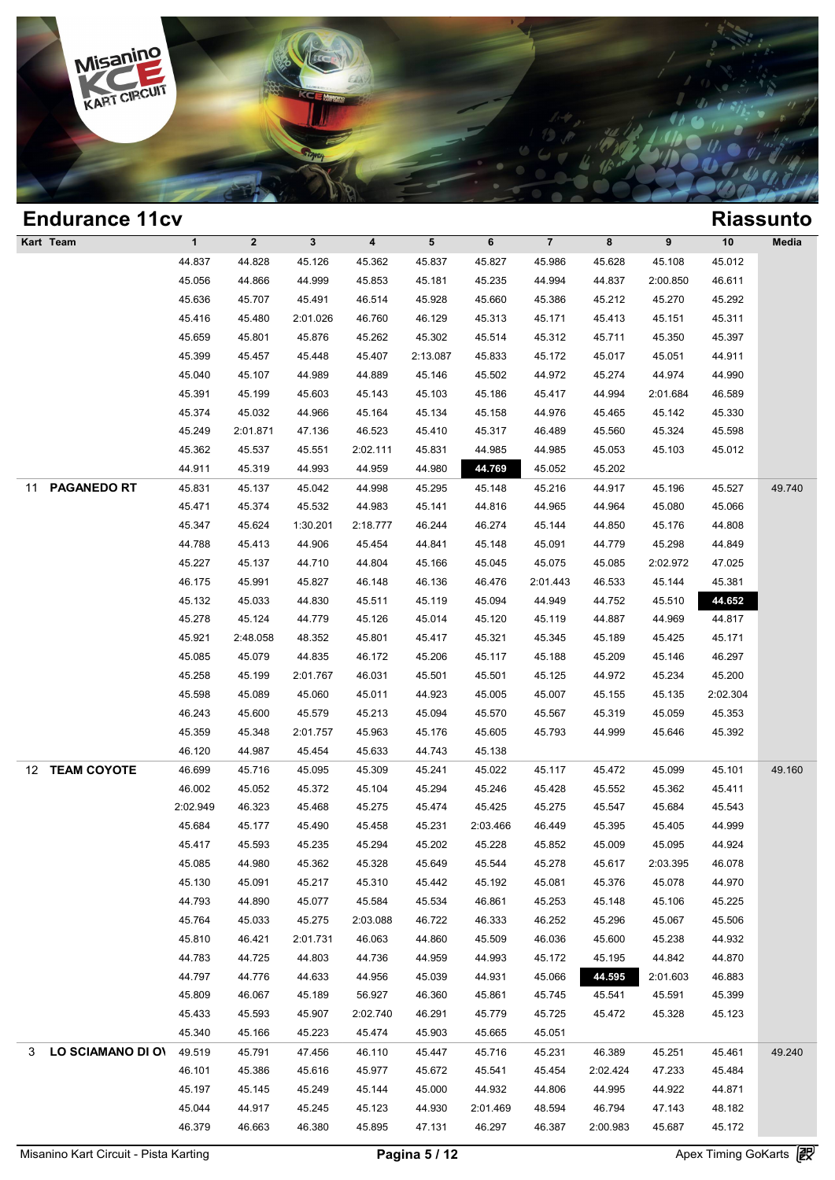

| <b>Endurance 11cv</b>    |              |              |              |                         |          |          |                |          |          |          | <b>Riassunto</b> |
|--------------------------|--------------|--------------|--------------|-------------------------|----------|----------|----------------|----------|----------|----------|------------------|
| Kart Team                | $\mathbf{1}$ | $\mathbf{2}$ | $\mathbf{3}$ | $\overline{\mathbf{4}}$ | 5        | 6        | $\overline{7}$ | 8        | 9        | $10$     | Media            |
|                          | 44.837       | 44.828       | 45.126       | 45.362                  | 45.837   | 45.827   | 45.986         | 45.628   | 45.108   | 45.012   |                  |
|                          | 45.056       | 44.866       | 44.999       | 45.853                  | 45.181   | 45.235   | 44.994         | 44.837   | 2:00.850 | 46.611   |                  |
|                          | 45.636       | 45.707       | 45.491       | 46.514                  | 45.928   | 45.660   | 45.386         | 45.212   | 45.270   | 45.292   |                  |
|                          | 45.416       | 45.480       | 2:01.026     | 46.760                  | 46.129   | 45.313   | 45.171         | 45.413   | 45.151   | 45.311   |                  |
|                          | 45.659       | 45.801       | 45.876       | 45.262                  | 45.302   | 45.514   | 45.312         | 45.711   | 45.350   | 45.397   |                  |
|                          | 45.399       | 45.457       | 45.448       | 45.407                  | 2:13.087 | 45.833   | 45.172         | 45.017   | 45.051   | 44.911   |                  |
|                          | 45.040       | 45.107       | 44.989       | 44.889                  | 45.146   | 45.502   | 44.972         | 45.274   | 44.974   | 44.990   |                  |
|                          | 45.391       | 45.199       | 45.603       | 45.143                  | 45.103   | 45.186   | 45.417         | 44.994   | 2:01.684 | 46.589   |                  |
|                          | 45.374       | 45.032       | 44.966       | 45.164                  | 45.134   | 45.158   | 44.976         | 45.465   | 45.142   | 45.330   |                  |
|                          | 45.249       | 2:01.871     | 47.136       | 46.523                  | 45.410   | 45.317   | 46.489         | 45.560   | 45.324   | 45.598   |                  |
|                          | 45.362       | 45.537       | 45.551       | 2:02.111                | 45.831   | 44.985   | 44.985         | 45.053   | 45.103   | 45.012   |                  |
|                          | 44.911       | 45.319       | 44.993       | 44.959                  | 44.980   | 44.769   | 45.052         | 45.202   |          |          |                  |
| <b>PAGANEDO RT</b><br>11 | 45.831       | 45.137       | 45.042       | 44.998                  | 45.295   | 45.148   | 45.216         | 44.917   | 45.196   | 45.527   | 49.740           |
|                          | 45.471       | 45.374       | 45.532       | 44.983                  | 45.141   | 44.816   | 44.965         | 44.964   | 45.080   | 45.066   |                  |
|                          | 45.347       | 45.624       | 1:30.201     | 2:18.777                | 46.244   | 46.274   | 45.144         | 44.850   | 45.176   | 44.808   |                  |
|                          | 44.788       | 45.413       | 44.906       | 45.454                  | 44.841   | 45.148   | 45.091         | 44.779   | 45.298   | 44.849   |                  |
|                          | 45.227       | 45.137       | 44.710       | 44.804                  | 45.166   | 45.045   | 45.075         | 45.085   | 2:02.972 | 47.025   |                  |
|                          | 46.175       | 45.991       | 45.827       | 46.148                  | 46.136   | 46.476   | 2:01.443       | 46.533   | 45.144   | 45.381   |                  |
|                          | 45.132       | 45.033       | 44.830       | 45.511                  | 45.119   | 45.094   | 44.949         | 44.752   | 45.510   | 44.652   |                  |
|                          | 45.278       | 45.124       | 44.779       | 45.126                  | 45.014   | 45.120   | 45.119         | 44.887   | 44.969   | 44.817   |                  |
|                          | 45.921       | 2:48.058     | 48.352       | 45.801                  | 45.417   | 45.321   | 45.345         | 45.189   | 45.425   | 45.171   |                  |
|                          | 45.085       | 45.079       | 44.835       | 46.172                  | 45.206   | 45.117   | 45.188         | 45.209   | 45.146   | 46.297   |                  |
|                          | 45.258       | 45.199       | 2:01.767     | 46.031                  | 45.501   | 45.501   | 45.125         | 44.972   | 45.234   | 45.200   |                  |
|                          | 45.598       | 45.089       | 45.060       | 45.011                  | 44.923   | 45.005   | 45.007         | 45.155   | 45.135   | 2:02.304 |                  |
|                          | 46.243       | 45.600       | 45.579       | 45.213                  | 45.094   | 45.570   | 45.567         | 45.319   | 45.059   | 45.353   |                  |
|                          | 45.359       | 45.348       | 2:01.757     | 45.963                  | 45.176   | 45.605   | 45.793         | 44.999   | 45.646   | 45.392   |                  |
|                          | 46.120       | 44.987       | 45.454       | 45.633                  | 44.743   | 45.138   |                |          |          |          |                  |
| <b>TEAM COYOTE</b><br>12 | 46.699       | 45.716       | 45.095       | 45.309                  | 45.241   | 45.022   | 45.117         | 45.472   | 45.099   | 45.101   | 49.160           |
|                          | 46.002       | 45.052       | 45.372       | 45.104                  | 45.294   | 45.246   | 45.428         | 45.552   | 45.362   | 45.411   |                  |
|                          | 2:02.949     | 46.323       | 45.468       | 45.275                  | 45.474   | 45.425   | 45.275         | 45.547   | 45.684   | 45.543   |                  |
|                          | 45.684       | 45.177       | 45.490       | 45.458                  | 45.231   | 2:03.466 | 46.449         | 45.395   | 45.405   | 44.999   |                  |
|                          | 45.417       | 45.593       | 45.235       | 45.294                  | 45.202   | 45.228   | 45.852         | 45.009   | 45.095   | 44.924   |                  |
|                          | 45.085       | 44.980       | 45.362       | 45.328                  | 45.649   | 45.544   | 45.278         | 45.617   | 2:03.395 | 46.078   |                  |
|                          | 45.130       | 45.091       | 45.217       | 45.310                  | 45.442   | 45.192   | 45.081         | 45.376   | 45.078   | 44.970   |                  |
|                          | 44.793       | 44.890       | 45.077       | 45.584                  | 45.534   | 46.861   | 45.253         | 45.148   | 45.106   | 45.225   |                  |
|                          | 45.764       | 45.033       | 45.275       | 2:03.088                | 46.722   | 46.333   | 46.252         | 45.296   | 45.067   | 45.506   |                  |
|                          | 45.810       | 46.421       | 2:01.731     | 46.063                  | 44.860   | 45.509   | 46.036         | 45.600   | 45.238   | 44.932   |                  |
|                          | 44.783       | 44.725       | 44.803       | 44.736                  | 44.959   | 44.993   | 45.172         | 45.195   | 44.842   | 44.870   |                  |
|                          | 44.797       | 44.776       | 44.633       | 44.956                  | 45.039   | 44.931   | 45.066         | 44.595   | 2:01.603 | 46.883   |                  |
|                          | 45.809       | 46.067       | 45.189       | 56.927                  | 46.360   | 45.861   | 45.745         | 45.541   | 45.591   | 45.399   |                  |
|                          | 45.433       | 45.593       | 45.907       | 2:02.740                | 46.291   | 45.779   | 45.725         | 45.472   | 45.328   | 45.123   |                  |
|                          | 45.340       | 45.166       | 45.223       | 45.474                  | 45.903   | 45.665   | 45.051         |          |          |          |                  |
| LO SCIAMANO DI OV<br>3   | 49.519       | 45.791       | 47.456       | 46.110                  | 45.447   | 45.716   | 45.231         | 46.389   | 45.251   | 45.461   | 49.240           |
|                          | 46.101       | 45.386       | 45.616       | 45.977                  | 45.672   | 45.541   | 45.454         | 2:02.424 | 47.233   | 45.484   |                  |
|                          | 45.197       | 45.145       | 45.249       | 45.144                  | 45.000   | 44.932   | 44.806         | 44.995   | 44.922   | 44.871   |                  |
|                          | 45.044       | 44.917       | 45.245       | 45.123                  | 44.930   | 2:01.469 | 48.594         | 46.794   | 47.143   | 48.182   |                  |
|                          | 46.379       | 46.663       | 46.380       | 45.895                  | 47.131   | 46.297   | 46.387         | 2:00.983 | 45.687   | 45.172   |                  |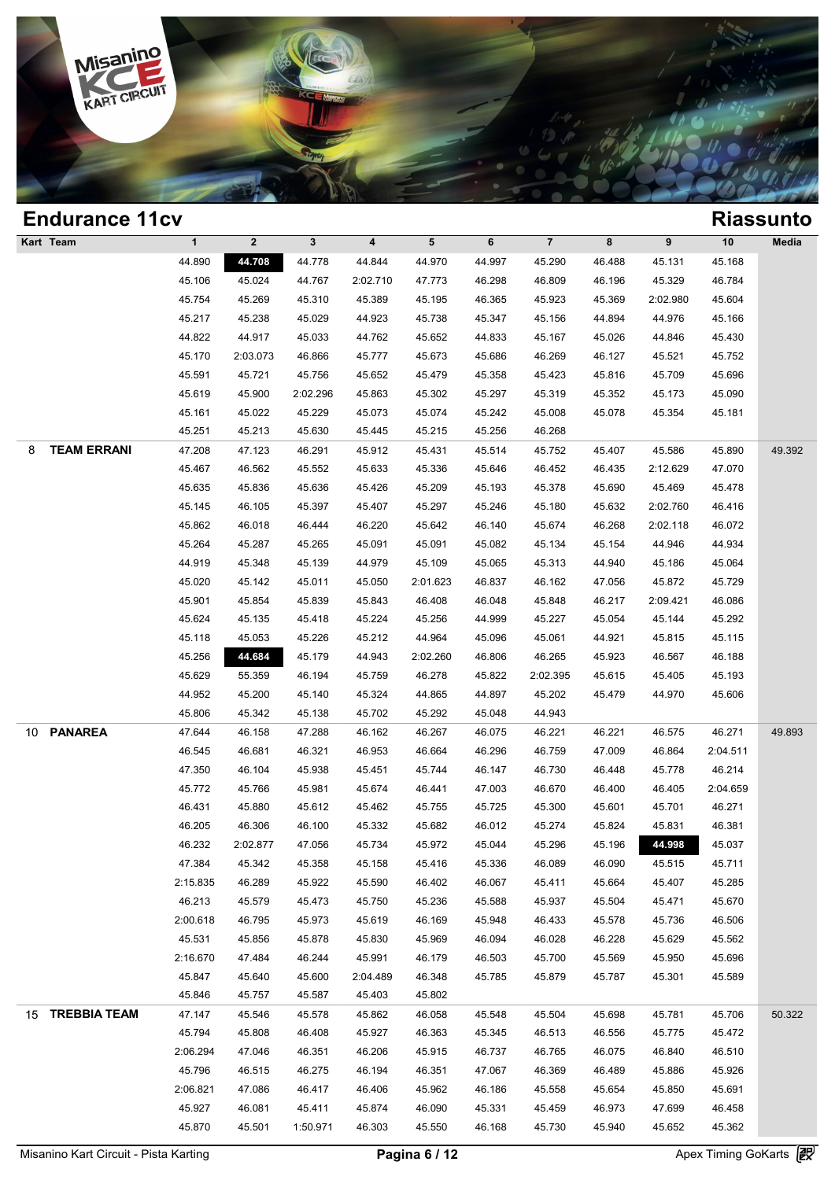

| <b>Endurance 11cv</b>   |              |              |          |          |          |        |                |        |          |          | <b>Riassunto</b> |
|-------------------------|--------------|--------------|----------|----------|----------|--------|----------------|--------|----------|----------|------------------|
| Kart Team               | $\mathbf{1}$ | $\mathbf{2}$ | 3        | 4        | 5        | 6      | $\overline{7}$ | 8      | 9        | 10       | Media            |
|                         | 44.890       | 44.708       | 44.778   | 44.844   | 44.970   | 44.997 | 45.290         | 46.488 | 45.131   | 45.168   |                  |
|                         | 45.106       | 45.024       | 44.767   | 2:02.710 | 47.773   | 46.298 | 46.809         | 46.196 | 45.329   | 46.784   |                  |
|                         | 45.754       | 45.269       | 45.310   | 45.389   | 45.195   | 46.365 | 45.923         | 45.369 | 2:02.980 | 45.604   |                  |
|                         | 45.217       | 45.238       | 45.029   | 44.923   | 45.738   | 45.347 | 45.156         | 44.894 | 44.976   | 45.166   |                  |
|                         | 44.822       | 44.917       | 45.033   | 44.762   | 45.652   | 44.833 | 45.167         | 45.026 | 44.846   | 45.430   |                  |
|                         | 45.170       | 2:03.073     | 46.866   | 45.777   | 45.673   | 45.686 | 46.269         | 46.127 | 45.521   | 45.752   |                  |
|                         | 45.591       | 45.721       | 45.756   | 45.652   | 45.479   | 45.358 | 45.423         | 45.816 | 45.709   | 45.696   |                  |
|                         | 45.619       | 45.900       | 2:02.296 | 45.863   | 45.302   | 45.297 | 45.319         | 45.352 | 45.173   | 45.090   |                  |
|                         | 45.161       | 45.022       | 45.229   | 45.073   | 45.074   | 45.242 | 45.008         | 45.078 | 45.354   | 45.181   |                  |
|                         | 45.251       | 45.213       | 45.630   | 45.445   | 45.215   | 45.256 | 46.268         |        |          |          |                  |
| <b>TEAM ERRANI</b><br>8 | 47.208       | 47.123       | 46.291   | 45.912   | 45.431   | 45.514 | 45.752         | 45.407 | 45.586   | 45.890   | 49.392           |
|                         | 45.467       | 46.562       | 45.552   | 45.633   | 45.336   | 45.646 | 46.452         | 46.435 | 2:12.629 | 47.070   |                  |
|                         | 45.635       | 45.836       | 45.636   | 45.426   | 45.209   | 45.193 | 45.378         | 45.690 | 45.469   | 45.478   |                  |
|                         | 45.145       | 46.105       | 45.397   | 45.407   | 45.297   | 45.246 | 45.180         | 45.632 | 2:02.760 | 46.416   |                  |
|                         | 45.862       | 46.018       | 46.444   | 46.220   | 45.642   | 46.140 | 45.674         | 46.268 | 2:02.118 | 46.072   |                  |
|                         | 45.264       | 45.287       | 45.265   | 45.091   | 45.091   | 45.082 | 45.134         | 45.154 | 44.946   | 44.934   |                  |
|                         | 44.919       | 45.348       | 45.139   | 44.979   | 45.109   | 45.065 | 45.313         | 44.940 | 45.186   | 45.064   |                  |
|                         | 45.020       | 45.142       | 45.011   | 45.050   | 2:01.623 | 46.837 | 46.162         | 47.056 | 45.872   | 45.729   |                  |
|                         | 45.901       | 45.854       | 45.839   | 45.843   | 46.408   | 46.048 | 45.848         | 46.217 | 2:09.421 | 46.086   |                  |
|                         | 45.624       | 45.135       | 45.418   | 45.224   | 45.256   | 44.999 | 45.227         | 45.054 | 45.144   | 45.292   |                  |
|                         | 45.118       | 45.053       | 45.226   | 45.212   | 44.964   | 45.096 | 45.061         | 44.921 | 45.815   | 45.115   |                  |
|                         | 45.256       | 44.684       | 45.179   | 44.943   | 2:02.260 | 46.806 | 46.265         | 45.923 | 46.567   | 46.188   |                  |
|                         | 45.629       | 55.359       | 46.194   | 45.759   | 46.278   | 45.822 | 2:02.395       | 45.615 | 45.405   | 45.193   |                  |
|                         | 44.952       | 45.200       | 45.140   | 45.324   | 44.865   | 44.897 | 45.202         | 45.479 | 44.970   | 45.606   |                  |
|                         | 45.806       | 45.342       | 45.138   | 45.702   | 45.292   | 45.048 | 44.943         |        |          |          |                  |
| <b>PANAREA</b><br>10    | 47.644       | 46.158       | 47.288   | 46.162   | 46.267   | 46.075 | 46.221         | 46.221 | 46.575   | 46.271   | 49.893           |
|                         | 46.545       | 46.681       | 46.321   | 46.953   | 46.664   | 46.296 | 46.759         | 47.009 | 46.864   | 2:04.511 |                  |
|                         | 47.350       | 46.104       | 45.938   | 45.451   | 45.744   | 46.147 | 46.730         | 46.448 | 45.778   | 46.214   |                  |
|                         | 45.772       | 45.766       | 45.981   | 45.674   | 46.441   | 47.003 | 46.670         | 46.400 | 46.405   | 2:04.659 |                  |
|                         | 46.431       | 45.880       | 45.612   | 45.462   | 45.755   | 45.725 | 45.300         | 45.601 | 45.701   | 46.271   |                  |
|                         | 46.205       | 46.306       | 46.100   | 45.332   | 45.682   | 46.012 | 45.274         | 45.824 | 45.831   | 46.381   |                  |
|                         | 46.232       | 2:02.877     | 47.056   | 45.734   | 45.972   | 45.044 | 45.296         | 45.196 | 44.998   | 45.037   |                  |
|                         | 47.384       | 45.342       | 45.358   | 45.158   | 45.416   | 45.336 | 46.089         | 46.090 | 45.515   | 45.711   |                  |
|                         | 2:15.835     | 46.289       | 45.922   | 45.590   | 46.402   | 46.067 | 45.411         | 45.664 | 45.407   | 45.285   |                  |
|                         | 46.213       | 45.579       | 45.473   | 45.750   | 45.236   | 45.588 | 45.937         | 45.504 | 45.471   | 45.670   |                  |
|                         | 2:00.618     | 46.795       | 45.973   | 45.619   | 46.169   | 45.948 | 46.433         | 45.578 | 45.736   | 46.506   |                  |
|                         | 45.531       | 45.856       | 45.878   | 45.830   | 45.969   | 46.094 | 46.028         | 46.228 | 45.629   | 45.562   |                  |
|                         | 2:16.670     | 47.484       | 46.244   | 45.991   | 46.179   | 46.503 | 45.700         | 45.569 | 45.950   | 45.696   |                  |
|                         | 45.847       | 45.640       | 45.600   | 2:04.489 | 46.348   | 45.785 | 45.879         | 45.787 | 45.301   | 45.589   |                  |
|                         | 45.846       | 45.757       | 45.587   | 45.403   | 45.802   |        |                |        |          |          |                  |
| 15 TREBBIA TEAM         | 47.147       | 45.546       | 45.578   | 45.862   | 46.058   | 45.548 | 45.504         | 45.698 | 45.781   | 45.706   | 50.322           |
|                         | 45.794       | 45.808       | 46.408   | 45.927   | 46.363   | 45.345 | 46.513         | 46.556 | 45.775   | 45.472   |                  |
|                         | 2:06.294     | 47.046       | 46.351   | 46.206   | 45.915   | 46.737 | 46.765         | 46.075 | 46.840   | 46.510   |                  |
|                         | 45.796       | 46.515       | 46.275   | 46.194   | 46.351   | 47.067 | 46.369         | 46.489 | 45.886   | 45.926   |                  |
|                         | 2:06.821     | 47.086       | 46.417   | 46.406   | 45.962   | 46.186 | 45.558         | 45.654 | 45.850   | 45.691   |                  |
|                         | 45.927       |              |          |          |          |        |                |        |          |          |                  |
|                         |              | 46.081       | 45.411   | 45.874   | 46.090   | 45.331 | 45.459         | 46.973 | 47.699   | 46.458   |                  |
|                         | 45.870       | 45.501       | 1:50.971 | 46.303   | 45.550   | 46.168 | 45.730         | 45.940 | 45.652   | 45.362   |                  |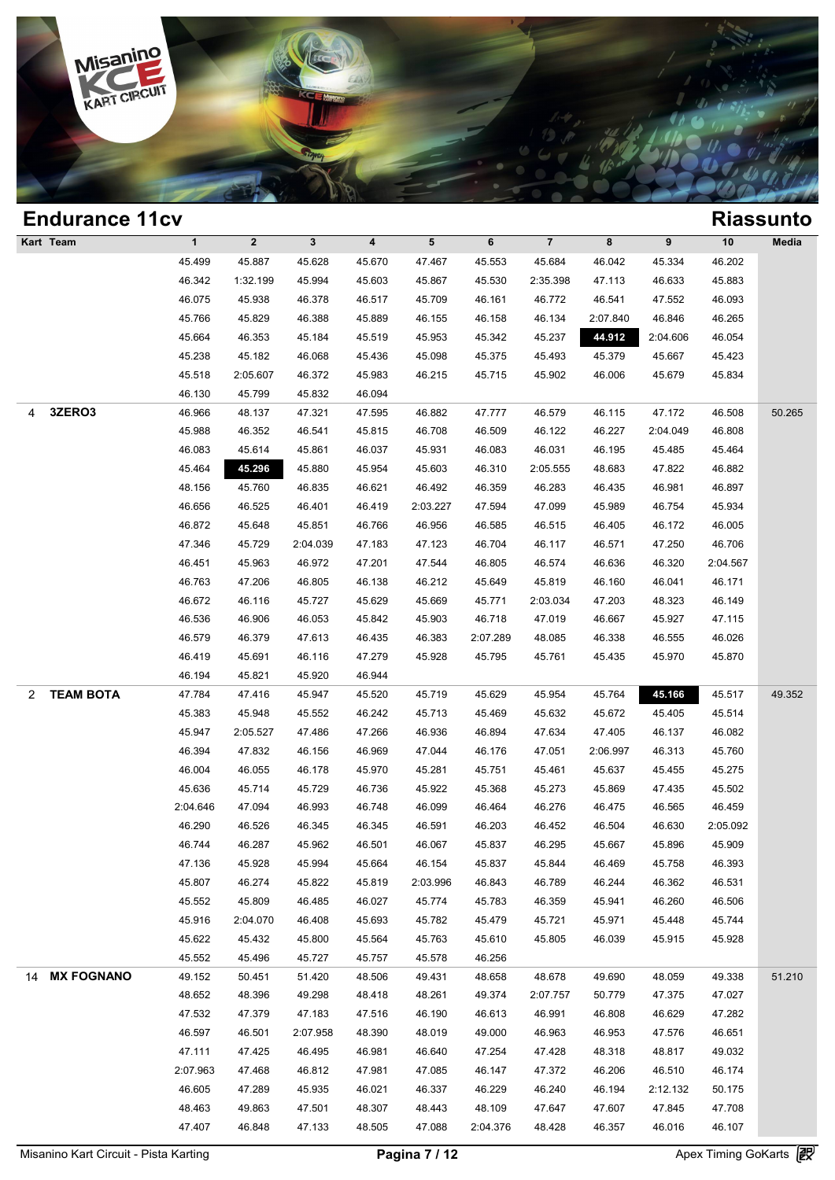

## **Endurance 11cv Riassunto Kart Team 1 2 3 4 5 6 7 8 9 10 Media 1**<br>
45.499 45.887 45.628 45.670 47.467 45.553 45.684 46.042 45.334 46.202<br>
46.343 423.199 45.994 45.693 45.687 45.884 36.684 46.042 45.334 46.202 1 2 3 4 5 6 7 8 9 10 Med<br>45.499 45.887 45.628 45.670 47.467 45.553 45.684 46.042 45.334 46.202<br>46.342 1:32.199 45.994 45.603 45.867 45.530 2:35.398 47.113 46.633 45.883<br>46.075 45.938 46.378 46.572 46.572 46.541 47.552 46.0 1 2 3 4 5 6 7 8 9 10 Med<br>45.499 45.887 45.628 45.670 47.467 45.553 45.684 46.042 45.334 46.202<br>46.342 1:32.199 45.994 45.603 45.867 45.530 2:35.398 47.113 46.633 45.883<br>46.075 45.938 46.378 46.517 45.709 46.161 46.772 46.5 45.499 45.887 45.628 45.670 47.467 45.553 45.684 46.042 45.334 46.202<br>46.342 1:32.199 45.994 45.603 45.867 45.530 2:35.398 47.113 46.633 45.883<br>46.075 45.938 46.378 46.517 45.709 46.161 46.772 46.541 47.552 46.093<br>45.766 4 46.342 1:32.199 45.994 45.603 45.867 45.530 2:35.398 47.113 46.633 45.883<br>46.075 45.938 46.378 46.517 45.709 46.161 46.772 46.541 47.552 46.093<br>45.766 45.829 46.388 45.889 46.155 46.158 46.134 2:07.840 46.846 46.265<br>45.664 46.075 45.938 46.378 46.517 45.709 46.161 46.772 46.541 47.552 46.093<br>45.766 45.829 46.388 45.889 46.155 46.158 46.134 2:07.840 46.846 46.265<br>45.664 46.353 45.184 45.519 45.953 45.342 45.237 44.912 2:04.606 46.054<br>45.238 4 45.766 45.829 46.388 45.889 46.155 46.158 46.134 2:07.840 46.846 46.265<br>45.664 46.353 45.184 45.519 45.953 45.342 45.237 44.912 2:04.606 46.054<br>45.238 45.182 46.068 45.436 45.098 45.375 45.493 45.379 45.667 45.423<br>45.518 2 46.664 46.353 45.184 45.519 45.9<br>45.238 45.182 46.068 45.436 45.09<br>45.518 2:05.607 46.372 45.983 46.2<br>46.130 45.799 45.832 46.094 4 **3ZERO3** 46.966 48.137 47.321 47.595 46.882 47.777 46.579 46.115 47.172 46.508 50.265 46.130 2:05.607 46.372 45.983 46.215 45.715 45.902 46.006 45.679 45.834<br>46.130 45.799 45.832 46.094<br>46.966 48.137 47.321 47.595 46.882 47.777 46.579 46.115 47.172 46.508 50.2<br>45.988 46.352 46.541 45.815 46.708 46.509 46.12 46.130 45.799 45.832 46.094<br>46.966 48.137 47.321 47.595 46.882 47.777 46.579 46.115 47.172 46.508 50.2<br>45.988 46.352 46.541 45.815 46.708 46.509 46.122 46.227 2:04.049 46.808<br>46.083 45.614 45.861 46.037 45.931 46.083 46.03 46.966 48.137 47.321 47.595 46.882 47.777 46.579 46.115 47.172 46.508 50.2<br>45.988 46.352 46.541 45.815 46.708 46.509 46.122 46.227 2:04.049 46.808<br>46.083 45.614 45.861 46.037 45.931 46.083 46.031 46.195 45.485 45.464<br>45.46 46.888 46.352 46.541 45.815 46.708 46.509 46.122 46.227 2:04.049 46.808<br>46.083 45.614 45.861 46.037 45.931 46.083 46.031 46.195 45.485 45.464<br>45.464 45.760 46.835 46.621 46.492 46.359 46.283 46.435 46.981 46.897<br>46.656 46.5 46.083 45.614 45.861 46.037 45.931 46.083 46.031 46.195 45.485 45.464 45.464 45.296 45.880 45.954 45.603 46.310 2:05.555 48.683 47.822 46.882 48.156 45.760 46.835 46.621 46.492 46.359 46.283 46.435 46.97<br>46.656 46.525 46.40 46.872 46.872 200.020 47.182 47.182 47.182 46.876 46.876 46.865 46.865 46.865 46.865 46.855 46.401 46.419 2:03.227 47.594 47.099 45.989 46.754 45.934 46.872 45.648 45.851 46.766 46.956 46.525 46.981 47.282 46.872 47.694 47. 48.156 45.760 46.835 46.621 46.492 46.359 46.283 46.435 46.981 46.897<br>46.656 46.525 46.401 46.419 2:03.227 47.594 47.099 45.989 46.754 45.934<br>46.872 45.648 45.851 46.766 46.956 46.585 46.515 46.405 46.172 46.005<br>47.346 45. 46.656 46.525 46.401 46.419 2:03.227 47.594 47.099 45.989 46.754 45.934<br>46.872 45.648 45.851 46.766 46.956 46.585 46.515 46.405 46.172 46.005<br>47.346 45.729 2:04.039 47.183 47.123 46.704 46.117 46.571 47.250 46.706<br>46.451 45 46.872 45.648 45.851 46.766 46.956 46.585 46.515 46.405 46.172 46.005<br>47.346 45.729 2:04.039 47.183 47.123 46.704 46.117 46.571 47.250 46.706<br>46.451 45.963 46.972 47.201 47.544 46.805 46.574 46.636 46.320 2:04.567<br>46.763 4 47.346 45.729 2:04.039 47.183 47.123 46.704 46.117 46.571 47.250 46.706<br>46.451 45.963 46.972 47.201 47.544 46.805 46.574 46.636 46.320 2:04.567<br>46.763 47.206 46.805 46.138 46.212 45.649 45.819 46.160 46.041 46.171<br>46.672 4 46.451 45.963 46.972 47.201 47.544 46.805 46.574 46.636 46.320 2:04.567<br>46.763 47.206 46.805 46.138 46.212 45.649 45.819 46.160 46.041 46.171<br>46.672 46.116 45.727 45.629 45.669 45.771 2:03.034 47.203 48.323 46.149<br>46.536 4 46.763 47.206 46.805 46.138 46.212 45.649 45.819 46.160 46.041 46.171<br>46.672 46.116 45.727 45.629 45.669 45.771 2:03.034 47.203 48.323 46.149<br>46.536 46.906 46.053 45.842 45.903 46.718 47.019 46.667 45.927 47.115<br>46.579 46. 46.672 46.116 45.727 45.629 45.669 45.771 2:03.034 47.203 48.323 46.149<br>46.536 46.906 46.053 45.842 45.903 46.718 47.019 46.667 45.927 47.115<br>46.579 46.379 47.613 46.435 46.383 2:07.289 48.085 46.338 46.555 46.026<br>46.419 4 46.536 46.906 46.053 45.842 45.91<br>46.579 46.379 47.613 46.435 46.31<br>46.419 45.691 46.116 47.279 45.91<br>46.194 45.821 45.920 46.944 2 **TEAM BOTA** 47.784 47.416 45.947 45.520 45.719 45.629 45.954 45.764 **45.166** 45.517 49.352 46.419 45.691 46.116 47.279 45.928 45.795 45.761 45.435 45.970 45.870<br>46.194 45.821 45.920 46.944<br>47.784 47.416 45.947 45.520 45.719 45.629 45.954 45.764 45.166 45.517 49.3<br>45.383 45.948 45.552 46.242 45.713 45.469 45.632 46.194 45.821 45.920 46.944<br>47.784 47.416 45.947 45.520 45.719 45.629 45.954 45.764 45.766 45.517 49.3<br>45.383 45.948 45.552 46.242 45.713 45.469 45.632 45.672 45.405 45.514<br>45.947 2:05.527 47.486 47.266 46.936 46.894 47.634 47.784 47.416 45.947 45.520 45.719 45.629 45.954 45.764 45.166 45.517 49.3<br>45.383 45.948 45.552 46.242 45.713 45.469 45.632 45.672 45.405 45.514<br>45.947 2:05.527 47.486 47.266 46.936 46.894 47.634 47.405 46.137 46.082<br>46.394 46.383 45.948 45.552 46.242 45.713 45.469 45.632 45.672 45.405 45.514<br>45.947 2:05.527 47.486 47.266 46.936 46.894 47.634 47.405 46.137 46.082<br>46.394 47.832 46.156 46.969 47.044 46.176 47.051 2:06.997 46.313 45.760<br>46.004 4 46.947 2:05.527 47.486 47.266 46.936 46.894 47.634 47.405 46.137 46.082<br>46.394 47.832 46.156 46.969 47.044 46.176 47.051 2:06.997 46.313 45.760<br>46.004 46.055 46.178 45.970 45.281 45.751 45.461 45.637 45.455 45.275<br>45.636 4 46.394 47.832 46.156 46.969 47.044 46.176 47.051 2:06.997 46.313 45.760<br>46.004 46.055 46.178 45.970 45.281 45.751 45.461 45.637 45.455 45.275<br>45.636 45.714 45.729 46.736 45.922 45.368 45.273 45.869 47.435 45.502<br>2:04.646 4 46.004 46.055 46.178 45.970 45.281 45.751 45.461 45.637 45.455 45.275<br>45.636 45.714 45.729 46.736 45.922 45.368 45.273 45.869 47.435 45.502<br>46.991 46.993 46.748 46.099 46.464 46.276 46.475 46.655 46.459<br>46.290 46.526 46.345 46.636 45.714 45.729 46.736 45.922 45.368 45.273 45.869 47.435 45.502<br>
46.290 46.526 46.345 46.345 46.591 46.203 46.452 46.504 46.630 2:05.092<br>
46.744 46.287 45.962 46.501 46.067 45.837 46.295 45.867 45.896 45.909<br>
47.126 46.290 46.526 46.993 46.748 46.099 46.464 46.276 46.475 46.565 46.459<br>46.290 46.526 46.345 46.345 46.591 46.203 46.452 46.504 46.630 2:05.092<br>46.744 46.287 45.962 46.501 46.067 45.837 46.295 45.667 45.896 45.909<br>47.136 45 46.290 46.526 46.345 46.345 46.591 46.203 46.452 46.504 46.630 2:05.092<br>46.744 46.287 45.962 46.501 46.067 45.837 46.295 45.667 45.896 45.909<br>47.136 45.928 45.994 45.664 46.154 45.837 45.844 46.469 45.758 46.393<br>45.807 46. 46.744 46.287 45.962 46.501 46.067 45.837 46.295 45.667 45.896 45.909<br>47.136 45.928 45.994 45.664 46.154 45.837 45.844 46.469 45.758 46.393<br>45.807 46.274 45.822 45.819 2:03.996 46.843 46.789 46.244 46.362 46.531<br>45.552 45. 47.136 45.928 45.994 45.664 46.154 45.837 45.844 46.469 45.758 46.393<br>45.807 46.274 45.822 45.819 2:03.996 46.843 46.789 46.244 46.362 46.531<br>45.552 45.809 46.485 46.027 45.774 45.783 46.359 45.941 46.260 46.506<br>45.916 2:0 45.807 46.274 45.822 45.819 2:03.996 46.843 46.789 46.244 46.362 46.531<br>45.552 45.809 46.485 46.027 45.774 45.783 46.359 45.941 46.260 46.506<br>45.916 2:04.070 46.408 45.693 45.782 45.479 45.721 45.971 45.448 45.744<br>45.622 4 45.552 45.809 46.485 46.027 45.774 45.783 46.33<br>45.916 2:04.070 46.408 45.693 45.782 45.479 45.7:<br>45.622 45.432 45.800 45.564 45.763 45.610 45.8<br>45.552 45.496 45.727 45.757 45.578 46.256 14 **MX FOGNANO** 49.152 50.451 51.420 48.506 49.431 48.658 48.678 49.690 48.059 49.338 51.210 45.622 45.432 45.800 45.564 45.763 45.610 45.805 46.039 45.915 45.928<br>45.552 45.496 45.727 45.757 45.578 46.256<br>49.152 50.451 51.420 48.506 49.431 48.658 48.678 49.690 48.059 49.338 51.2<br>48.652 48.396 49.298 48.418 48.261 46.552 46.496 45.727 45.757 45.578 46.256<br>49.152 50.451 51.420 48.506 49.431 48.658 48.678 49.690 48.059 49.338 51.2<br>48.652 48.396 49.298 48.418 48.261 49.374 2:07.757 50.779 47.375 47.027<br>47.532 47.379 47.183 47.516 46.190 46.52 46.396 49.298 48.418 48.261 49.374 2:07.757 50.779 47.375 47.027<br>47.532 47.379 47.183 47.516 46.190 46.613 46.991 46.808 46.629 47.282<br>46.597 46.501 2:07.958 48.390 48.019 49.000 46.963 46.953 47.576 46.651<br>47.111 47 48.652 48.396 49.298 48.418 48.261 49.374 2:07.757 50.779 47.375 47.027<br>47.532 47.379 47.183 47.516 46.190 46.613 46.991 46.808 46.629 47.282<br>46.597 46.501 2:07.958 48.390 48.019 49.000 46.963 46.953 47.576 46.651<br>47.111 4 47.532 47.379 47.183 47.516 46.190 46.613 46.991 46.808 46.629 47.282<br>46.597 46.501 2:07.958 48.390 48.019 49.000 46.963 46.953 47.576 46.651<br>47.111 47.425 46.495 46.981 46.640 47.254 47.428 48.318 48.817 49.032<br>2:07.963 4 46.597 46.501 2:07.958 48.390 48.019 49.000 46.963 46.953 47.576 46.651<br>47.111 47.425 46.495 46.981 46.640 47.254 47.428 48.318 48.817 49.032<br>2:07.963 47.468 46.812 47.981 47.085 46.147 47.372 46.206 46.510 46.174<br>46.605 4 47.111 47.425 46.495 46.981 46.640 47.254 47.428 48.318 48.817 49.032<br>
1.07.963 47.468 46.812 47.981 47.085 46.147 47.372 46.206 46.510 46.174<br>
46.605 47.289 45.935 46.021 46.337 46.229 46.240 46.194 2:12.132 50.175<br>
48.46 48.605 47.468 46.812 47.981 47.085 46.147 47.372 46.206 46.510 46.174<br>46.605 47.289 45.935 46.021 46.337 46.229 46.240 46.194 2:12.132 50.175<br>48.463 49.863 47.501 48.307 48.443 48.109 47.647 47.607 47.845 47.708<br>47.407 46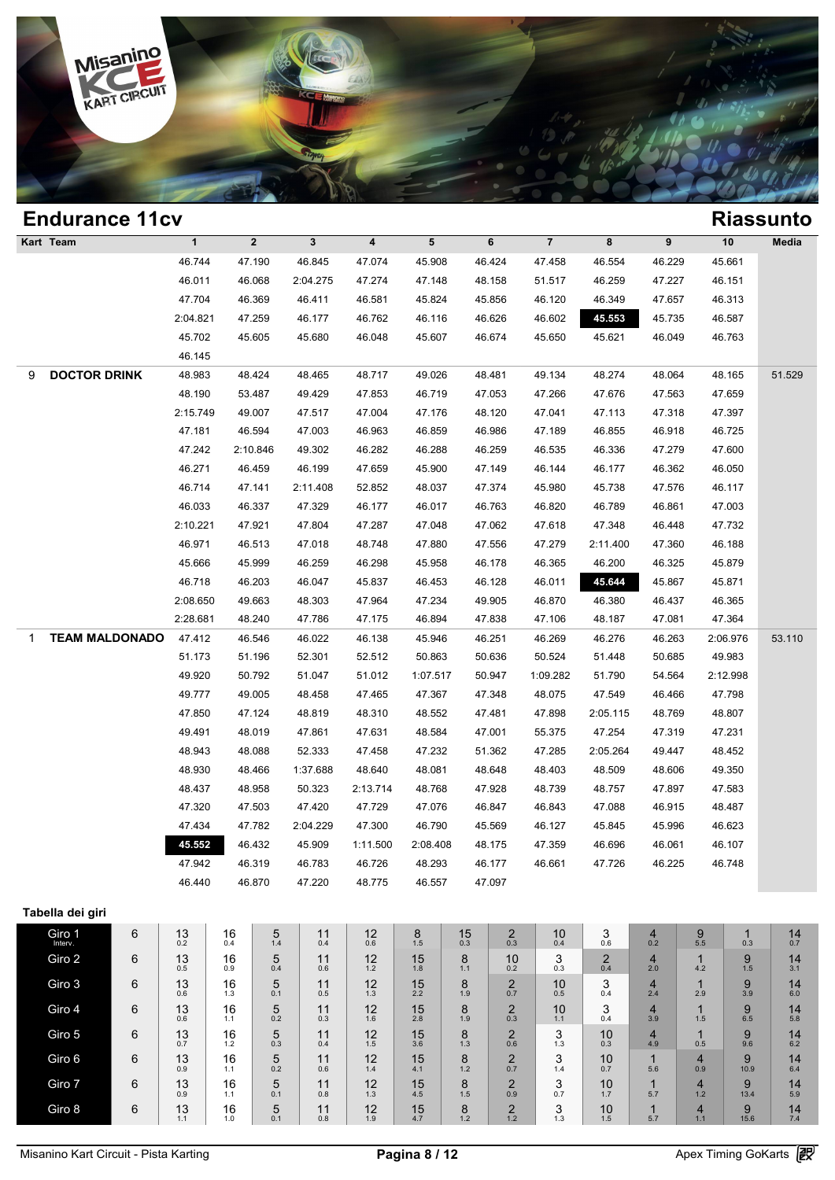

| <b>Endurance 11cv</b>      |   |                |                |                  |                  |                         |                 |               |                                |                        |                       |                     |                       |                  | <b>Riassunto</b>    |
|----------------------------|---|----------------|----------------|------------------|------------------|-------------------------|-----------------|---------------|--------------------------------|------------------------|-----------------------|---------------------|-----------------------|------------------|---------------------|
| Kart Team                  |   | $\mathbf{1}$   |                | $\mathbf{2}$     | $\mathbf{3}$     | $\overline{\mathbf{4}}$ | $5\phantom{.0}$ |               | 6                              | $\overline{7}$         | 8                     | 9                   |                       | 10               | Media               |
|                            |   | 46.744         |                | 47.190           | 46.845           | 47.074                  | 45.908          |               | 46.424                         | 47.458                 | 46.554                | 46.229              |                       | 45.661           |                     |
|                            |   | 46.011         |                | 46.068           | 2:04.275         | 47.274                  | 47.148          |               | 48.158                         | 51.517                 | 46.259                | 47.227              |                       | 46.151           |                     |
|                            |   | 47.704         |                | 46.369           | 46.411           | 46.581                  | 45.824          |               | 45.856                         | 46.120                 | 46.349                | 47.657              |                       | 46.313           |                     |
|                            |   | 2:04.821       |                | 47.259           | 46.177           | 46.762                  | 46.116          |               | 46.626                         | 46.602                 | 45.553                | 45.735              |                       | 46.587           |                     |
|                            |   | 45.702         |                | 45.605           | 45.680           | 46.048                  | 45.607          |               | 46.674                         | 45.650                 | 45.621                | 46.049              |                       | 46.763           |                     |
|                            |   | 46.145         |                |                  |                  |                         |                 |               |                                |                        |                       |                     |                       |                  |                     |
| <b>DOCTOR DRINK</b><br>9   |   | 48.983         |                | 48.424           | 48.465           | 48.717                  | 49.026          |               | 48.481                         | 49.134                 | 48.274                | 48.064              |                       | 48.165           | 51.529              |
|                            |   | 48.190         |                | 53.487           | 49.429           | 47.853                  | 46.719          |               | 47.053                         | 47.266                 | 47.676                | 47.563              |                       | 47.659           |                     |
|                            |   | 2:15.749       |                | 49.007           | 47.517           | 47.004                  | 47.176          |               | 48.120                         | 47.041                 | 47.113                | 47.318              |                       | 47.397           |                     |
|                            |   | 47.181         |                | 46.594           | 47.003           | 46.963                  | 46.859          |               | 46.986                         | 47.189                 | 46.855                | 46.918              |                       | 46.725           |                     |
|                            |   | 47.242         |                | 2:10.846         | 49.302           | 46.282                  | 46.288          |               | 46.259                         | 46.535                 | 46.336                | 47.279              |                       | 47.600           |                     |
|                            |   | 46.271         |                | 46.459           | 46.199           | 47.659                  | 45.900          |               | 47.149                         | 46.144                 | 46.177                | 46.362              |                       | 46.050           |                     |
|                            |   | 46.714         |                | 47.141           | 2:11.408         | 52.852                  | 48.037          |               | 47.374                         | 45.980                 | 45.738                | 47.576              |                       | 46.117           |                     |
|                            |   | 46.033         |                | 46.337           | 47.329           | 46.177                  | 46.017          |               | 46.763                         | 46.820                 | 46.789                | 46.861              |                       | 47.003           |                     |
|                            |   | 2:10.221       |                | 47.921           | 47.804           | 47.287                  | 47.048          |               | 47.062                         | 47.618                 | 47.348                | 46.448              |                       | 47.732           |                     |
|                            |   | 46.971         |                | 46.513           | 47.018           | 48.748                  | 47.880          |               | 47.556                         | 47.279                 | 2:11.400              | 47.360              |                       | 46.188           |                     |
|                            |   | 45.666         |                | 45.999           | 46.259           | 46.298                  | 45.958          |               | 46.178                         | 46.365                 | 46.200                | 46.325              |                       | 45.879           |                     |
|                            |   | 46.718         |                | 46.203           | 46.047           | 45.837                  | 46.453          |               | 46.128                         | 46.011                 | 45.644                | 45.867              |                       | 45.871           |                     |
|                            |   | 2:08.650       |                | 49.663           | 48.303           | 47.964                  | 47.234          |               | 49.905                         | 46.870                 | 46.380                | 46.437              |                       | 46.365           |                     |
|                            |   | 2:28.681       |                | 48.240           | 47.786           | 47.175                  | 46.894          |               | 47.838                         | 47.106                 | 48.187                | 47.081              |                       | 47.364           |                     |
| <b>TEAM MALDONADO</b><br>1 |   | 47.412         |                | 46.546           | 46.022           | 46.138                  | 45.946          |               | 46.251                         | 46.269                 | 46.276                | 46.263              |                       | 2:06.976         | 53.110              |
|                            |   | 51.173         |                | 51.196           | 52.301           | 52.512                  | 50.863          |               | 50.636                         | 50.524                 | 51.448                | 50.685              |                       | 49.983           |                     |
|                            |   | 49.920         |                | 50.792           | 51.047           | 51.012                  | 1:07.517        |               | 50.947                         | 1:09.282               | 51.790                | 54.564              |                       | 2:12.998         |                     |
|                            |   | 49.777         |                | 49.005           | 48.458           | 47.465                  | 47.367          |               | 47.348                         | 48.075                 | 47.549                | 46.466              |                       | 47.798           |                     |
|                            |   | 47.850         |                | 47.124           | 48.819           | 48.310                  | 48.552          |               | 47.481                         | 47.898                 | 2:05.115              | 48.769              |                       | 48.807           |                     |
|                            |   | 49.491         |                | 48.019           | 47.861           | 47.631                  | 48.584          |               | 47.001                         | 55.375                 | 47.254                | 47.319              |                       | 47.231           |                     |
|                            |   | 48.943         |                | 48.088           | 52.333           | 47.458                  | 47.232          |               | 51.362                         | 47.285                 | 2:05.264              | 49.447              |                       | 48.452           |                     |
|                            |   | 48.930         |                | 48.466           | 1:37.688         | 48.640                  | 48.081          |               | 48.648                         | 48.403                 | 48.509                | 48.606              |                       | 49.350           |                     |
|                            |   | 48.437         |                | 48.958           | 50.323           | 2:13.714                | 48.768          |               | 47.928                         | 48.739                 | 48.757                | 47.897              |                       | 47.583           |                     |
|                            |   | 47.320         |                | 47.503           | 47.420           | 47.729                  | 47.076          |               | 46.847                         | 46.843                 | 47.088                | 46.915              |                       | 48.487           |                     |
|                            |   | 47.434         |                | 47.782           | 2:04.229         | 47.300                  | 46.790          |               | 45.569                         | 46.127                 | 45.845                | 45.996              |                       | 46.623           |                     |
|                            |   | 45.552         |                | 46.432           | 45.909           | 1:11.500                | 2:08.408        |               | 48.175                         | 47.359                 | 46.696                | 46.061              |                       | 46.107           |                     |
|                            |   | 47.942         |                | 46.319<br>46.870 | 46.783<br>47.220 | 46.726                  | 48.293          |               | 46.177                         | 46.661                 | 47.726                | 46.225              |                       | 46.748           |                     |
|                            |   | 46.440         |                |                  |                  | 48.775                  | 46.557          |               | 47.097                         |                        |                       |                     |                       |                  |                     |
| Tabella dei giri           |   |                |                |                  |                  |                         |                 |               |                                |                        |                       |                     |                       |                  |                     |
| Giro 1                     | 6 | $13_{0.2}$     | 16             | $\frac{5}{1.4}$  | 11               | $^{12}_{0.6}$           | $8_{1.5}$       | $^{15}_{0.3}$ | $_{0.3}^{2}$                   | $^{10}_{0.4}$          | $_{0.6}^{\mathbf{3}}$ | $\frac{4}{0.2}$     | $\underset{5.5}{9}$   | $1_{0.3}$        | $^{14}_{0.7}$       |
| Giro 2                     | 6 | 13             | 0.4<br>16      | 5                | 0.4<br>11        | 12                      | 15              | 8             | 10                             | 3                      |                       | 4                   | 1                     | 9                | 14                  |
|                            |   | 0.5            | 0.9            | 0.4              | 0.6              | 1.2                     | 1.8             | 1.1           | 0.2                            | 0.3                    | $^{2}_{0.4}$          | 2.0                 | 4.2                   | 1.5              | 3.1                 |
| Giro 3                     | 6 | 13<br>0.6      | 16<br>1.3      | 5<br>0.1         | 11<br>0.5        | $12 \atop 1.3$          | $15 \over 2.2$  | 8<br>1.9      | $_{0.7}^{2}$                   | 10<br>$0.\overline{5}$ | 3<br>0.4              | $\frac{4}{2.4}$     | $\mathbf{1}$<br>2.9   | $\frac{9}{3.9}$  | $14_{6.0}$          |
| Giro 4                     | 6 | 13             | 16             | 5                | 11               | $12 \atop 1.6$          | $15 \over 2.8$  | 8             | $^{2}_{0.3}$                   | $10^{11}_{1.1}$        | $_{0.4}^{3}$          | $\frac{4}{3.9}$     | $\mathbf{1}$          | $9$ $6.5$        | $14$ <sub>5.8</sub> |
| Giro 5                     | 6 | 0.6<br>13      | 1.1<br>16      | 0.2<br>5         | 0.3<br>11        | 12                      | 15              | 1.9<br>8      | $\overline{\mathbf{c}}$        | 3                      | 10                    | $\overline{4}$      | 1.5<br>$\mathbf{1}$   | 9                | 14                  |
|                            |   | 0.7            | $1.2$          | 0.3              | 0.4              | 1.5                     | 3.6             | 1.3           | 0.6                            | 1.3                    | 0.3                   | 4.9                 | 0.5                   | 9.6              | 6.2                 |
| Giro 6                     | 6 | 13<br>0.9      | 16<br>1.1      | 5<br>0.2         | 11<br>0.6        | 12<br>1.4               | 15<br>4.1       | 8<br>1.2      | $\overline{\mathbf{c}}$<br>0.7 | 3<br>1.4               | 10<br>0.7             | $\mathbf{1}$<br>5.6 | $\overline{4}$<br>0.9 | 9<br>10.9        | 14<br>6.4           |
| Giro 7                     | 6 | 13             | 16             | 5                | 11               | 12                      | 15              | 8             | $\overline{\mathbf{c}}$        | 3                      | 10                    | $\mathbf{1}$        | 4                     | 9                | 14                  |
| Giro 8                     | 6 | 0.9            | 1.1            | 0.1              | 0.8              | 1.3                     | 4.5             | 1.5           | 0.9                            | 0.7                    | $1.7$                 | 5.7<br>$\mathbf{1}$ | 1.2                   | 13.4             | 5.9                 |
|                            |   | $13 \atop 1.1$ | $16 \atop 1.0$ | $\frac{5}{0.1}$  | $^{11}_{0.8}$    | $12 \atop 1.9$          | $15$<br>4.7     | $8_{1.2}$     | $^{2}_{1.2}$                   | 3/1.3                  | $10^{10}_{1.5}$       | 5.7                 | $\frac{4}{1.1}$       | $\frac{9}{15.6}$ | $14 \atop 7.4$      |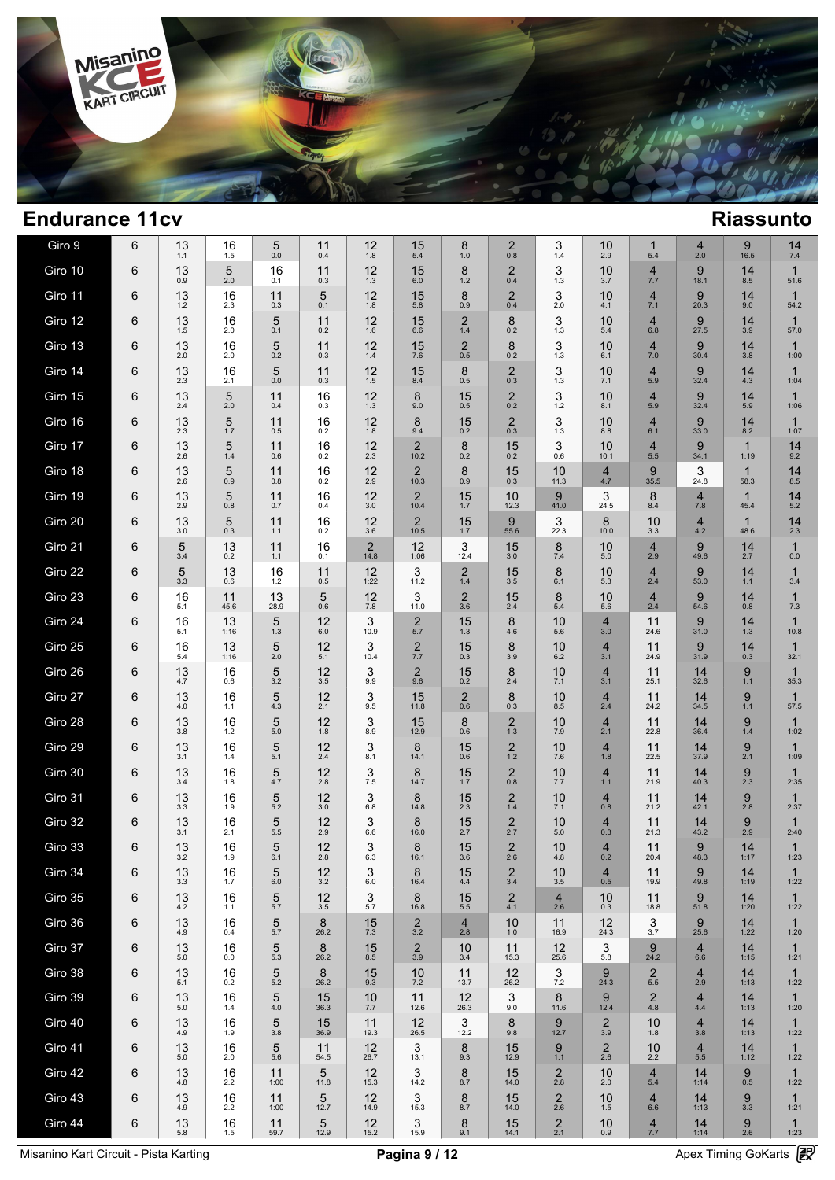

| Giro 9  | 6 | 13<br>1.1 | 16<br>1.5  | 5<br>0.0    | 11<br>0.4  | 12<br>1.8              | 15<br>5.4              | 8<br>1.0              | $\overline{c}$<br>0.8 | 3<br>1.4                       | 10<br>2.9             | $\mathbf{1}$<br>5.4             | $\overline{4}$<br>2.0 | 9<br>16.5           | 14<br>7.4            |  |
|---------|---|-----------|------------|-------------|------------|------------------------|------------------------|-----------------------|-----------------------|--------------------------------|-----------------------|---------------------------------|-----------------------|---------------------|----------------------|--|
| Giro 10 | 6 | 13<br>0.9 | 5<br>2.0   | 16<br>0.1   | 11<br>0.3  | 12<br>1.3              | 15<br>6.0              | 8<br>$1.2$            | 2<br>0.4              | 3<br>1.3                       | 10<br>3.7             | $\overline{4}$<br>7.7           | 9<br>18.1             | 14<br>8.5           | 1<br>51.6            |  |
| Giro 11 | 6 | 13<br>1.2 | 16<br>2.3  | 11<br>0.3   | 5<br>0.1   | 12<br>1.8              | 15<br>5.8              | 8<br>0.9              | 2<br>0.4              | 3<br>2.0                       | 10<br>4.1             | $\overline{4}$<br>7.1           | 9<br>20.3             | 14<br>9.0           | $\mathbf{1}$<br>54.2 |  |
| Giro 12 | 6 | 13<br>1.5 | 16<br>2.0  | 5<br>0.1    | 11<br>0.2  | 12<br>1.6              | 15<br>6.6              | $\overline{2}$<br>1.4 | 8<br>0.2              | 3<br>1.3                       | 10<br>5.4             | $\overline{4}$<br>6.8           | 9<br>27.5             | 14<br>3.9           | $\mathbf{1}$<br>57.0 |  |
| Giro 13 | 6 | 13<br>2.0 | 16<br>2.0  | 5<br>0.2    | 11<br>0.3  | 12<br>1.4              | 15<br>7.6              | $^{2}_{0.5}$          | 8<br>0.2              | 3<br>1.3                       | 10<br>6.1             | $\overline{4}$<br>7.0           | 9<br>30.4             | 14<br>3.8           | $\mathbf{1}$<br>1:00 |  |
| Giro 14 | 6 | 13<br>2.3 | 16<br>2.1  | 5<br>0.0    | 11<br>0.3  | 12<br>1.5              | 15<br>8.4              | 8<br>0.5              | 2<br>0.3              | 3<br>1.3                       | 10<br>7.1             | $\overline{4}$<br>5.9           | 9<br>32.4             | 14<br>4.3           | 1<br>1:04            |  |
| Giro 15 | 6 | 13<br>2.4 | 5<br>2.0   | 11<br>0.4   | 16<br>0.3  | 12<br>1.3              | 8<br>9.0               | 15<br>0.5             | $\overline{2}$<br>0.2 | 3<br>$1.2$                     | 10<br>8.1             | $\overline{4}$<br>5.9           | 9<br>32.4             | 14<br>5.9           | 1<br>1:06            |  |
| Giro 16 | 6 | 13<br>2.3 | 5<br>1.7   | 11<br>0.5   | 16<br>0.2  | 12<br>1.8              | 8<br>9.4               | 15<br>0.2             | $\overline{2}$<br>0.3 | 3<br>1.3                       | 10<br>8.8             | $\overline{4}$<br>6.1           | 9<br>33.0             | 14<br>8.2           | 1<br>1:07            |  |
| Giro 17 | 6 | 13<br>2.6 | 5<br>1.4   | 11<br>0.6   | 16<br>0.2  | 12<br>2.3              | $\overline{2}$<br>10.2 | 8<br>0.2              | 15<br>0.2             | 3<br>0.6                       | 10<br>10.1            | $\overline{4}$<br>5.5           | 9<br>34.1             | 1<br>1:19           | 14<br>9.2            |  |
| Giro 18 | 6 | 13<br>2.6 | 5<br>0.9   | 11<br>0.8   | 16<br>0.2  | 12<br>2.9              | $\overline{2}$<br>10.3 | 8<br>0.9              | 15<br>0.3             | 10<br>11.3                     | $\frac{4}{4.7}$       | 9<br>35.5                       | 3<br>24.8             | 1<br>58.3           | 14<br>8.5            |  |
| Giro 19 | 6 | 13<br>2.9 | 5<br>0.8   | 11<br>0.7   | 16<br>0.4  | 12<br>3.0              | $\overline{2}$<br>10.4 | 15<br>1.7             | 10<br>12.3            | 9<br>41.0                      | 3<br>24.5             | 8<br>8.4                        | $\overline{4}$<br>7.8 | $\mathbf 1$<br>45.4 | 14<br>5.2            |  |
| Giro 20 | 6 | 13<br>3.0 | 5<br>0.3   | 11<br>1.1   | 16<br>0.2  | 12<br>3.6              | $\overline{2}$<br>10.5 | 15<br>$1.7$           | 9<br>55.6             | 3<br>22.3                      | 8<br>10.0             | 10<br>3.3                       | $\overline{4}$<br>4.2 | 1<br>48.6           | 14<br>2.3            |  |
| Giro 21 | 6 | 5<br>3.4  | 13<br>0.2  | 11<br>1.1   | 16<br>0.1  | $\overline{2}$<br>14.8 | 12<br>1:06             | 3<br>12.4             | 15<br>3.0             | 8<br>7.4                       | 10<br>5.0             | $\overline{4}$<br>2.9           | 9<br>49.6             | 14<br>2.7           | $\mathbf{1}$<br>0.0  |  |
| Giro 22 | 6 | 5<br>3.3  | 13<br>0.6  | 16<br>$1.2$ | 11<br>0.5  | 12<br>1:22             | 3<br>11.2              | $\overline{2}$<br>1.4 | 15<br>3.5             | 8<br>6.1                       | 10<br>5.3             | $\overline{4}$<br>2.4           | 9<br>53.0             | 14<br>1.1           | $\mathbf{1}$<br>3.4  |  |
| Giro 23 | 6 | 16<br>5.1 | 11<br>45.6 | 13<br>28.9  | 5<br>0.6   | 12<br>7.8              | 3<br>11.0              | $\overline{2}$<br>3.6 | 15<br>2.4             | 8<br>5.4                       | 10<br>5.6             | 4<br>2.4                        | 9<br>54.6             | 14<br>0.8           | $\mathbf{1}$<br>7.3  |  |
| Giro 24 | 6 | 16<br>5.1 | 13<br>1:16 | 5<br>1.3    | 12<br>6.0  | 3<br>10.9              | $\overline{2}$<br>5.7  | 15<br>1.3             | 8<br>4.6              | 10<br>5.6                      | $\overline{4}$<br>3.0 | 11<br>24.6                      | 9<br>31.0             | 14<br>1.3           | $\mathbf{1}$<br>10.8 |  |
| Giro 25 | 6 | 16<br>5.4 | 13<br>1:16 | 5<br>2.0    | 12<br>5.1  | 3<br>10.4              | $\overline{2}$<br>7.7  | 15<br>0.3             | 8<br>3.9              | 10<br>6.2                      | $\overline{4}$<br>3.1 | 11<br>24.9                      | 9<br>31.9             | 14<br>0.3           | $\mathbf{1}$<br>32.1 |  |
| Giro 26 | 6 | 13<br>4.7 | 16<br>0.6  | 5<br>3.2    | 12<br>3.5  | 3<br>9.9               | $\overline{2}$<br>9.6  | 15<br>0.2             | 8<br>2.4              | 10<br>7.1                      | $\overline{4}$<br>3.1 | 11<br>25.1                      | 14<br>32.6            | 9<br>1.1            | $\mathbf{1}$<br>35.3 |  |
| Giro 27 | 6 | 13<br>4.0 | 16<br>1.1  | 5<br>4.3    | 12<br>2.1  | 3<br>9.5               | 15<br>11.8             | 2<br>0.6              | 8<br>0.3              | 10<br>8.5                      | $\overline{4}$<br>2.4 | 11<br>24.2                      | 14<br>34.5            | 9<br>1.1            | $\mathbf{1}$<br>57.5 |  |
| Giro 28 | 6 | 13<br>3.8 | 16<br>1.2  | 5<br>5.0    | 12<br>1.8  | 3<br>8.9               | 15<br>12.9             | 8<br>0.6              | 2<br>1.3              | 10<br>7.9                      | $\overline{4}$<br>2.1 | 11<br>22.8                      | 14<br>36.4            | 9<br>1.4            | $\mathbf{1}$<br>1:02 |  |
| Giro 29 | 6 | 13<br>3.1 | 16<br>1.4  | 5<br>5.1    | 12<br>2.4  | 3<br>8.1               | 8<br>14.1              | 15<br>0.6             | $\overline{2}$<br>1.2 | 10<br>7.6                      | $\overline{4}$<br>1.8 | 11<br>22.5                      | 14<br>37.9            | 9<br>2.1            | $\mathbf{1}$<br>1:09 |  |
| Giro 30 | 6 | 13<br>3.4 | 16<br>1.8  | 5<br>4.7    | 12<br>2.8  | 3<br>7.5               | 8<br>14.7              | 15<br>1.7             | $\overline{2}$<br>0.8 | 10<br>7.7                      | $\overline{4}$<br>1.1 | 11<br>21.9                      | 14<br>40.3            | 9<br>2.3            | $\mathbf 1$<br>2:35  |  |
| Giro 31 | 6 | 13<br>3.3 | 16<br>1.9  | 5<br>5.2    | 12<br>3.0  | 3<br>6.8               | 8<br>14.8              | 15<br>2.3             | $\overline{2}$<br>1.4 | 10<br>7.1                      | $\overline{4}$<br>0.8 | 11<br>21.2                      | 14<br>42.1            | 9<br>2.8            | 1<br>2:37            |  |
| Giro 32 | 6 | 13<br>3.1 | 16<br>2.1  | 5<br>5.5    | 12<br>2.9  | 3<br>6.6               | 8<br>16.0              | 15<br>2.7             | $\overline{2}$<br>2.7 | 10<br>5.0                      | $\overline{4}$<br>0.3 | 11<br>21.3                      | 14<br>43.2            | 9<br>2.9            | 1<br>2:40            |  |
| Giro 33 | 6 | 13<br>3.2 | 16<br>1.9  | 5<br>6.1    | 12<br>2.8  | 3<br>6.3               | 8<br>16.1              | 15<br>3.6             | $\overline{2}$<br>2.6 | 10<br>4.8                      | $\overline{4}$<br>0.2 | 11<br>20.4                      | 9<br>48.3             | 14<br>1:17          | $\mathbf{1}$<br>1:23 |  |
| Giro 34 | 6 | 13<br>3.3 | 16<br>1.7  | 5<br>6.0    | 12<br>3.2  | 3<br>6.0               | 8<br>16.4              | 15<br>4.4             | $\frac{2}{3.4}$       | 10<br>3.5                      | 4<br>0.5              | 11<br>19.9                      | 9<br>49.8             | 14<br>1:19          | $\mathbf{1}$<br>1:22 |  |
| Giro 35 | 6 | 13<br>4.2 | 16<br>1.1  | 5<br>5.7    | 12<br>3.5  | 3<br>5.7               | 8<br>16.8              | 15<br>5.5             | $\overline{c}$<br>4.1 | $\overline{4}$<br>2.6          | 10<br>0.3             | 11<br>18.8                      | 9<br>51.8             | 14<br>1:20          | 1<br>1:22            |  |
| Giro 36 | 6 | 13<br>4.9 | 16<br>0.4  | 5<br>5.7    | 8<br>26.2  | 15<br>7.3              | $\overline{2}$<br>3.2  | $\overline{4}$<br>2.8 | 10<br>1.0             | 11<br>16.9                     | 12<br>24.3            | 3<br>3.7                        | 9<br>25.6             | 14<br>1:22          | $\mathbf{1}$<br>1:20 |  |
| Giro 37 | 6 | 13<br>5.0 | 16<br>0.0  | 5<br>5.3    | 8<br>26.2  | 15<br>8.5              | $\mathbf 2$<br>3.9     | 10<br>3.4             | 11<br>15.3            | 12<br>25.6                     | 3<br>5.8              | 9<br>24.2                       | $\overline{4}$<br>6.6 | 14<br>1:15          | $\mathbf{1}$<br>1:21 |  |
| Giro 38 | 6 | 13<br>5.1 | 16<br>0.2  | 5<br>5.2    | 8<br>26.2  | 15<br>9.3              | 10<br>7.2              | 11<br>13.7            | 12<br>26.2            | 3<br>$7.2\,$                   | 9<br>24.3             | $\overline{\mathbf{c}}$<br>5.5  | $\overline{4}$<br>2.9 | 14<br>1:13          | $\mathbf{1}$<br>1:22 |  |
| Giro 39 | 6 | 13<br>5.0 | 16<br>1.4  | 5<br>4.0    | 15<br>36.3 | 10<br>7.7              | 11<br>12.6             | 12<br>26.3            | 3<br>9.0              | 8<br>11.6                      | 9<br>12.4             | $\overline{2}$<br>4.8           | $\overline{4}$<br>4.4 | 14<br>1:13          | $\mathbf{1}$<br>1:20 |  |
| Giro 40 | 6 | 13<br>4.9 | 16<br>1.9  | 5<br>3.8    | 15<br>36.9 | 11<br>19.3             | 12<br>26.5             | 3<br>12.2             | 8<br>9.8              | 9<br>12.7                      | $\overline{2}$<br>3.9 | 10<br>1.8                       | $\overline{4}$<br>3.8 | 14<br>1:13          | $\mathbf{1}$<br>1:22 |  |
| Giro 41 | 6 | 13<br>5.0 | 16<br>2.0  | 5<br>5.6    | 11<br>54.5 | 12<br>26.7             | 3<br>13.1              | 8<br>9.3              | 15<br>12.9            | 9<br>1.1                       | $\frac{2}{2.6}$       | $10_{2.2}$                      | $\overline{4}$<br>5.5 | 14<br>1:12          | $\mathbf{1}$<br>1:22 |  |
| Giro 42 | 6 | 13<br>4.8 | 16<br>2.2  | 11<br>1:00  | 5<br>11.8  | 12<br>15.3             | 3<br>14.2              | 8<br>8.7              | 15<br>14.0            | $\frac{2}{2.8}$                | 10<br>2.0             | $\overline{4}$<br>5.4           | 14<br>1:14            | $9$ $_{0.5}$        | $\mathbf{1}$<br>1:22 |  |
| Giro 43 | 6 | 13<br>4.9 | 16<br>2.2  | 11<br>1:00  | 5<br>12.7  | 12<br>14.9             | 3<br>15.3              | 8<br>8.7              | 15<br>14.0            | $\overline{2}$<br>2.6          | 10<br>1.5             | $\overline{4}$<br>6.6           | 14<br>1:13            | 9<br>3.3            | $\mathbf 1$<br>1:21  |  |
| Giro 44 | 6 | 13<br>5.8 | 16<br>1.5  | 11<br>59.7  | 5<br>12.9  | 12<br>15.2             | 3<br>15.9              | 8<br>9.1              | 15<br>14.1            | $\overline{\mathbf{c}}$<br>2.1 | 10<br>0.9             | $\overline{\mathcal{A}}$<br>7.7 | 14<br>1:14            | 9<br>2.6            | $\mathbf{1}$<br>1:23 |  |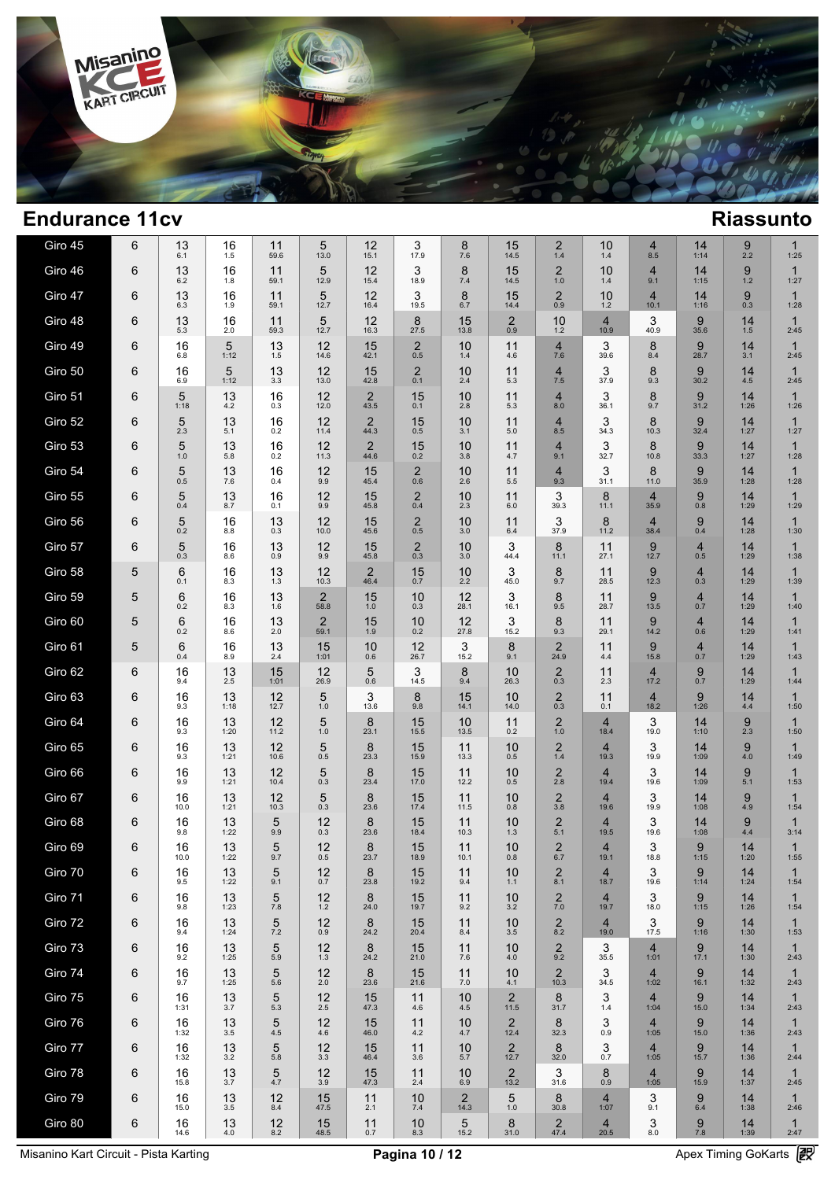

| Giro 45 | 6 | 13<br>6.1  | 16<br>1.5  | 11<br>59.6 | 5<br>13.0              | 12<br>15.1             | 3<br>17.9             | 8<br>7.6               | 15<br>14.5             | 2<br>1.4               | 10<br>1.4              | 4<br>8.5               | 14<br>1:14            | 9<br>2.2   | 1<br>1:25            |  |
|---------|---|------------|------------|------------|------------------------|------------------------|-----------------------|------------------------|------------------------|------------------------|------------------------|------------------------|-----------------------|------------|----------------------|--|
| Giro 46 | 6 | 13<br>6.2  | 16<br>1.8  | 11<br>59.1 | 5<br>12.9              | 12<br>15.4             | 3<br>18.9             | 8<br>7.4               | 15<br>14.5             | $\overline{2}$<br>1.0  | 10<br>1.4              | $\overline{4}$<br>9.1  | 14<br>1:15            | 9<br>$1.2$ | 1<br>1:27            |  |
| Giro 47 | 6 | 13<br>6.3  | 16<br>1.9  | 11<br>59.1 | 5<br>12.7              | 12<br>16.4             | 3<br>19.5             | 8<br>6.7               | 15<br>14.4             | $\overline{2}$<br>0.9  | 10<br>$1.2$            | $\overline{4}$<br>10.1 | 14<br>1:16            | 9<br>0.3   | $\mathbf{1}$<br>1:28 |  |
| Giro 48 | 6 | 13<br>5.3  | 16<br>2.0  | 11<br>59.3 | 5<br>12.7              | 12<br>16.3             | 8<br>27.5             | 15<br>13.8             | $\overline{2}$<br>0.9  | 10<br>1.2              | $\overline{4}$<br>10.9 | 3<br>40.9              | 9<br>35.6             | 14<br>1.5  | $\mathbf 1$<br>2:45  |  |
| Giro 49 | 6 | 16<br>6.8  | 5<br>1:12  | 13<br>1.5  | 12<br>14.6             | 15<br>42.1             | $\overline{2}$<br>0.5 | 10<br>1.4              | 11<br>4.6              | $\overline{4}$<br>7.6  | 3<br>39.6              | 8<br>8.4               | 9<br>28.7             | 14<br>3.1  | 1<br>2:45            |  |
| Giro 50 | 6 | 16<br>6.9  | 5<br>1:12  | 13<br>3.3  | 12<br>13.0             | 15<br>42.8             | 2<br>0.1              | 10<br>2.4              | 11<br>5.3              | $\overline{4}$<br>7.5  | 3<br>37.9              | 8<br>9.3               | 9<br>30.2             | 14<br>4.5  | 1<br>2:45            |  |
| Giro 51 | 6 | 5<br>1:18  | 13<br>4.2  | 16<br>0.3  | 12<br>12.0             | $\overline{2}$<br>43.5 | 15<br>0.1             | 10<br>2.8              | 11<br>5.3              | $\overline{4}$<br>8.0  | 3<br>36.1              | 8<br>9.7               | 9<br>31.2             | 14<br>1:26 | $\mathbf{1}$<br>1:26 |  |
| Giro 52 | 6 | 5<br>2.3   | 13<br>5.1  | 16<br>0.2  | 12<br>11.4             | $\overline{2}$<br>44.3 | 15<br>0.5             | 10<br>3.1              | 11<br>5.0              | $\overline{4}$<br>8.5  | 3<br>34.3              | 8<br>10.3              | 9<br>32.4             | 14<br>1:27 | 1<br>1:27            |  |
| Giro 53 | 6 | 5<br>1.0   | 13<br>5.8  | 16<br>0.2  | 12<br>11.3             | $\overline{2}$<br>44.6 | 15<br>0.2             | 10<br>3.8              | 11<br>4.7              | $\overline{4}$<br>9.1  | 3<br>32.7              | 8<br>10.8              | 9<br>33.3             | 14<br>1:27 | 1<br>1:28            |  |
| Giro 54 | 6 | 5<br>0.5   | 13<br>7.6  | 16<br>0.4  | 12<br>9.9              | 15<br>45.4             | $\overline{2}$<br>0.6 | 10<br>2.6              | 11<br>5.5              | $\overline{4}$<br>9.3  | 3<br>31.1              | 8<br>11.0              | 9<br>35.9             | 14<br>1:28 | 1<br>1:28            |  |
| Giro 55 | 6 | 5<br>0.4   | 13<br>8.7  | 16<br>0.1  | 12<br>9.9              | 15<br>45.8             | $\overline{2}$<br>0.4 | 10<br>2.3              | 11<br>6.0              | 3<br>39.3              | 8<br>11.1              | $\overline{4}$<br>35.9 | 9<br>0.8              | 14<br>1:29 | $\mathbf{1}$<br>1:29 |  |
| Giro 56 | 6 | 5<br>0.2   | 16<br>8.8  | 13<br>0.3  | 12<br>10.0             | 15<br>45.6             | $\overline{2}$<br>0.5 | 10<br>3.0              | 11<br>6.4              | 3<br>37.9              | 8<br>11.2              | $\overline{4}$<br>38.4 | 9<br>0.4              | 14<br>1:28 | $\mathbf 1$<br>1:30  |  |
| Giro 57 | 6 | 5<br>0.3   | 16<br>8.6  | 13<br>0.9  | 12<br>9.9              | 15<br>45.8             | $\overline{c}$<br>0.3 | 10<br>3.0              | 3<br>44.4              | 8<br>11.1              | 11<br>27.1             | 9<br>12.7              | $\overline{4}$<br>0.5 | 14<br>1:29 | $\mathbf 1$<br>1:38  |  |
| Giro 58 | 5 | 6<br>0.1   | 16<br>8.3  | 13<br>1.3  | 12<br>10.3             | $\overline{2}$<br>46.4 | 15<br>0.7             | 10<br>2.2              | 3<br>45.0              | 8<br>9.7               | 11<br>28.5             | 9<br>12.3              | $\overline{4}$<br>0.3 | 14<br>1:29 | $\mathbf 1$<br>1:39  |  |
| Giro 59 | 5 | 6<br>0.2   | 16<br>8.3  | 13<br>1.6  | $\overline{2}$<br>58.8 | 15<br>1.0              | 10<br>0.3             | 12<br>28.1             | 3<br>16.1              | 8<br>9.5               | 11<br>28.7             | 9<br>13.5              | $\overline{4}$<br>0.7 | 14<br>1:29 | 1<br>1:40            |  |
| Giro 60 | 5 | 6<br>0.2   | 16<br>8.6  | 13<br>2.0  | $\overline{2}$<br>59.1 | 15<br>1.9              | 10<br>0.2             | 12<br>27.8             | 3<br>15.2              | 8<br>9.3               | 11<br>29.1             | 9<br>14.2              | $\overline{4}$<br>0.6 | 14<br>1:29 | 1<br>1:41            |  |
| Giro 61 | 5 | 6<br>0.4   | 16<br>8.9  | 13<br>2.4  | 15<br>1:01             | 10<br>0.6              | 12<br>26.7            | 3<br>15.2              | 8<br>9.1               | $\overline{2}$<br>24.9 | 11<br>4.4              | 9<br>15.8              | $\overline{4}$<br>0.7 | 14<br>1:29 | $\mathbf 1$<br>1:43  |  |
| Giro 62 | 6 | 16<br>9.4  | 13<br>2.5  | 15<br>1:01 | 12<br>26.9             | 5<br>0.6               | 3<br>14.5             | 8<br>9.4               | 10<br>26.3             | $\overline{2}$<br>0.3  | 11<br>2.3              | $\overline{4}$<br>17.2 | 9<br>0.7              | 14<br>1:29 | $\mathbf 1$<br>1:44  |  |
| Giro 63 | 6 | 16<br>9.3  | 13<br>1:18 | 12<br>12.7 | 5<br>1.0               | 3<br>13.6              | 8<br>9.8              | 15<br>14.1             | 10<br>14.0             | $^{2}_{0.3}$           | 11<br>0.1              | $\overline{4}$<br>18.2 | 9<br>1:26             | 14<br>4.4  | 1<br>1:50            |  |
| Giro 64 | 6 | 16<br>9.3  | 13<br>1:20 | 12<br>11.2 | 5<br>1.0               | 8<br>23.1              | 15<br>15.5            | 10<br>13.5             | 11<br>0.2              | $\overline{2}$<br>1.0  | 4<br>18.4              | 3<br>19.0              | 14<br>1:10            | 9<br>2.3   | 1<br>1:50            |  |
| Giro 65 | 6 | 16<br>9.3  | 13<br>1:21 | 12<br>10.6 | 5<br>0.5               | 8<br>23.3              | 15<br>15.9            | 11<br>13.3             | 10<br>0.5              | $\overline{2}$<br>1.4  | $\overline{4}$<br>19.3 | 3<br>19.9              | 14<br>1:09            | 9<br>4.0   | $\mathbf 1$<br>1:49  |  |
| Giro 66 | 6 | 16<br>9.9  | 13<br>1:21 | 12<br>10.4 | 5<br>0.3               | 8<br>23.4              | 15<br>17.0            | 11<br>12.2             | 10<br>0.5              | $\overline{2}$<br>2.8  | 4<br>19.4              | 3<br>19.6              | 14<br>1:09            | 9<br>5.1   | 1<br>1:53            |  |
| Giro 67 | 6 | 16<br>10.0 | 13<br>1:21 | 12<br>10.3 | 5<br>0.3               | 8<br>23.6              | 15<br>17.4            | 11<br>11.5             | 10<br>0.8              | $\overline{2}$<br>3.8  | 4<br>19.6              | 3<br>19.9              | 14<br>1:08            | 9<br>4.9   | 1<br>1:54            |  |
| Giro 68 | 6 | 16<br>9.8  | 13<br>1:22 | 5<br>9.9   | 12<br>0.3              | 8<br>23.6              | 15<br>18.4            | 11<br>10.3             | 10<br>1.3              | $\overline{2}$<br>5.1  | 4<br>19.5              | 3<br>19.6              | 14<br>1:08            | 9<br>4.4   | 1<br>3:14            |  |
| Giro 69 | 6 | 16<br>10.0 | 13<br>1:22 | 5<br>9.7   | 12<br>0.5              | 8<br>23.7              | 15<br>18.9            | 11<br>10.1             | 10<br>0.8              | $\overline{2}$<br>6.7  | 4<br>19.1              | 3<br>18.8              | 9<br>1:15             | 14<br>1:20 | 1<br>1:55            |  |
| Giro 70 | 6 | 16<br>9.5  | 13<br>1:22 | 5<br>9.1   | 12<br>0.7              | 8<br>23.8              | 15<br>19.2            | 11<br>9.4              | 10<br>1.1              | $^{2}_{8.1}$           | $\overline{4}$<br>18.7 | 3<br>19.6              | 9<br>1:14             | 14<br>1:24 | 1<br>1:54            |  |
| Giro 71 | 6 | 16<br>9.8  | 13<br>1:23 | 5<br>7.8   | 12<br>1.2              | 8<br>24.0              | 15<br>19.7            | 11<br>9.2              | 10<br>3.2              | $\frac{2}{7.0}$        | $\overline{4}$<br>19.7 | 3<br>18.0              | 9<br>1:15             | 14<br>1:26 | $\mathbf 1$<br>1:54  |  |
| Giro 72 | 6 | 16<br>9.4  | 13<br>1:24 | 5<br>7.2   | 12<br>0.9              | 8<br>24.2              | 15<br>20.4            | 11<br>8.4              | 10<br>3.5              | $\overline{2}$<br>8.2  | $\overline{4}$<br>19.0 | 3<br>17.5              | 9<br>1:16             | 14<br>1:30 | $\mathbf{1}$<br>1:53 |  |
| Giro 73 | 6 | 16<br>9.2  | 13<br>1:25 | 5<br>5.9   | 12<br>1.3              | 8<br>24.2              | 15<br>21.0            | 11<br>7.6              | 10<br>4.0              | $\overline{2}$<br>9.2  | 3<br>35.5              | $\overline{4}$<br>1:01 | 9<br>17.1             | 14<br>1:30 | $\mathbf{1}$<br>2:43 |  |
| Giro 74 | 6 | 16<br>9.7  | 13<br>1:25 | 5<br>5.6   | 12<br>2.0              | 8<br>23.6              | 15<br>21.6            | 11<br>7.0              | 10<br>4.1              | $\overline{2}$<br>10.3 | 3<br>34.5              | $\overline{4}$<br>1:02 | 9<br>16.1             | 14<br>1:32 | $\mathbf{1}$<br>2:43 |  |
| Giro 75 | 6 | 16<br>1:31 | 13<br>3.7  | 5<br>5.3   | 12<br>2.5              | 15<br>47.3             | 11<br>4.6             | 10<br>4.5              | 2<br>11.5              | 8<br>31.7              | 3<br>1.4               | $\overline{4}$<br>1:04 | 9<br>15.0             | 14<br>1:34 | $\mathbf{1}$<br>2:43 |  |
| Giro 76 | 6 | 16<br>1:32 | 13<br>3.5  | 5<br>4.5   | 12<br>4.6              | 15<br>46.0             | 11<br>4.2             | 10<br>4.7              | 2<br>12.4              | 8<br>32.3              | 3<br>0.9               | $\overline{4}$<br>1:05 | 9<br>15.0             | 14<br>1:36 | $\mathbf{1}$<br>2:43 |  |
| Giro 77 | 6 | 16<br>1:32 | 13<br>3.2  | 5<br>5.8   | 12<br>3.3              | 15<br>46.4             | 11<br>3.6             | 10<br>5.7              | $\overline{2}$<br>12.7 | 8<br>32.0              | 3<br>0.7               | $\overline{4}$<br>1:05 | 9<br>15.7             | 14<br>1:36 | $\mathbf{1}$<br>2:44 |  |
| Giro 78 | 6 | 16<br>15.8 | 13<br>3.7  | 5<br>4.7   | 12<br>3.9              | 15<br>47.3             | 11<br>2.4             | 10<br>6.9              | $\overline{2}$<br>13.2 | 3<br>31.6              | 8<br>0.9               | $\overline{4}$<br>1:05 | 9<br>15.9             | 14<br>1:37 | $\mathbf{1}$<br>2:45 |  |
| Giro 79 | 6 | 16<br>15.0 | 13<br>3.5  | 12<br>8.4  | 15<br>47.5             | 11<br>2.1              | 10<br>7.4             | $\overline{2}$<br>14.3 | 5<br>1.0               | 8<br>30.8              | $\overline{4}$<br>1:07 | 3<br>9.1               | 9<br>6.4              | 14<br>1:38 | $\mathbf{1}$<br>2:46 |  |
| Giro 80 | 6 | 16<br>14.6 | 13<br>4.0  | 12<br>8.2  | 15<br>48.5             | 11<br>0.7              | 10<br>8.3             | 5<br>15.2              | 8<br>31.0              | $\overline{2}$<br>47.4 | $\overline{4}$<br>20.5 | 3<br>8.0               | 9<br>7.8              | 14<br>1:39 | $\mathbf{1}$<br>2:47 |  |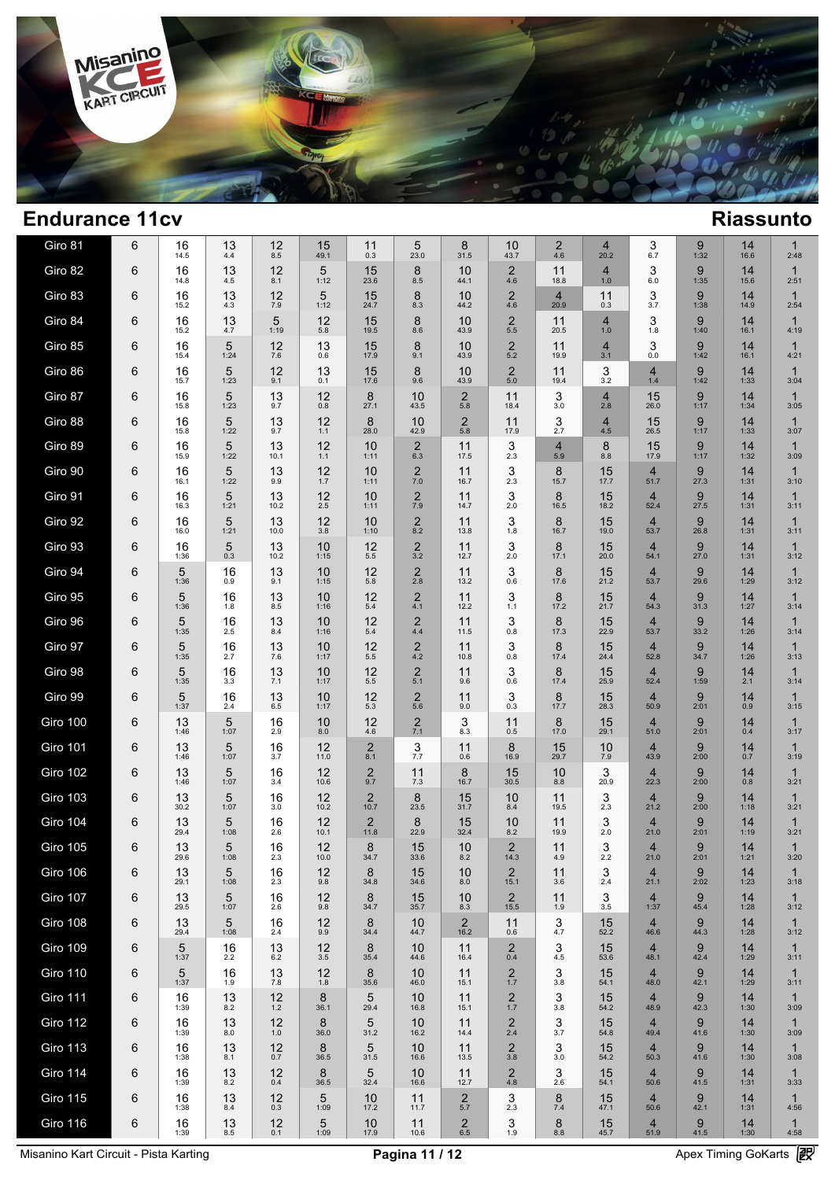

| Giro 81         | 6 | 16<br>14.5 | 13<br>4.4     | 12<br>8.5  | 15<br>49.1 | 11<br>0.3              | 5<br>23.0             | 8<br>31.5              | 10<br>43.7                     | $\overline{2}$<br>4.6  | $\overline{4}$<br>20.2 | 3<br>6.7                        | 9<br>1:32 | 14<br>16.6 | $\mathbf 1$<br>2:48  |  |
|-----------------|---|------------|---------------|------------|------------|------------------------|-----------------------|------------------------|--------------------------------|------------------------|------------------------|---------------------------------|-----------|------------|----------------------|--|
| Giro 82         | 6 | 16<br>14.8 | 13<br>4.5     | 12<br>8.1  | 5<br>1:12  | 15<br>23.6             | 8<br>8.5              | 10<br>44.1             | $\overline{2}$<br>4.6          | 11<br>18.8             | 4<br>1.0               | 3<br>6.0                        | 9<br>1:35 | 14<br>15.6 | 1<br>2:51            |  |
| Giro 83         | 6 | 16<br>15.2 | 13<br>4.3     | 12<br>7.9  | 5<br>1:12  | 15<br>24.7             | 8<br>8.3              | 10<br>44.2             | 2<br>4.6                       | $\overline{4}$<br>20.9 | 11<br>0.3              | 3<br>3.7                        | 9<br>1:38 | 14<br>14.9 | $\mathbf 1$<br>2:54  |  |
| Giro 84         | 6 | 16<br>15.2 | 13<br>4.7     | 5<br>1:19  | 12<br>5.8  | 15<br>19.5             | 8<br>8.6              | 10<br>43.9             | $\overline{2}$<br>5.5          | 11<br>20.5             | 4<br>1.0               | 3<br>1.8                        | 9<br>1:40 | 14<br>16.1 | $\mathbf 1$<br>4:19  |  |
| Giro 85         | 6 | 16<br>15.4 | 5<br>1:24     | 12<br>7.6  | 13<br>0.6  | 15<br>17.9             | 8<br>9.1              | 10<br>43.9             | $\overline{2}$<br>5.2          | 11<br>19.9             | 4<br>3.1               | 3<br>0.0                        | 9<br>1:42 | 14<br>16.1 | 1<br>4:21            |  |
| Giro 86         | 6 | 16<br>15.7 | 5<br>1:23     | 12<br>9.1  | 13<br>0.1  | 15<br>17.6             | 8<br>9.6              | 10<br>43.9             | $\overline{2}$<br>5.0          | 11<br>19.4             | 3<br>3.2               | $\overline{4}$<br>1.4           | 9<br>1:42 | 14<br>1:33 | 1<br>3:04            |  |
| Giro 87         | 6 | 16<br>15.8 | 5<br>1:23     | 13<br>9.7  | 12<br>0.8  | 8<br>27.1              | 10<br>43.5            | $\overline{2}$<br>5.8  | 11<br>18.4                     | 3<br>3.0               | 4<br>2.8               | 15<br>26.0                      | 9<br>1:17 | 14<br>1:34 | $\mathbf 1$<br>3:05  |  |
| Giro 88         | 6 | 16<br>15.8 | 5<br>1:22     | 13<br>9.7  | 12<br>1.1  | 8<br>28.0              | 10<br>42.9            | $\overline{2}$<br>5.8  | 11<br>17.9                     | 3<br>2.7               | 4<br>4.5               | 15<br>26.5                      | 9<br>1:17 | 14<br>1:33 | $\mathbf{1}$<br>3:07 |  |
| Giro 89         | 6 | 16<br>15.9 | 5<br>1:22     | 13<br>10.1 | 12<br>1.1  | 10<br>1:11             | $\overline{2}$<br>6.3 | 11<br>17.5             | 3<br>2.3                       | 4<br>5.9               | 8<br>8.8               | 15<br>17.9                      | 9<br>1:17 | 14<br>1:32 | $\mathbf{1}$<br>3:09 |  |
| Giro 90         | 6 | 16<br>16.1 | 5<br>1:22     | 13<br>9.9  | 12<br>1.7  | 10<br>1:11             | $\overline{2}$<br>7.0 | 11<br>16.7             | 3<br>2.3                       | 8<br>15.7              | 15<br>17.7             | $\overline{4}$<br>51.7          | 9<br>27.3 | 14<br>1:31 | $\mathbf{1}$<br>3:10 |  |
| Giro 91         | 6 | 16<br>16.3 | 5<br>1:21     | 13<br>10.2 | 12<br>2.5  | 10<br>1:11             | $\overline{2}$<br>7.9 | 11<br>14.7             | 3<br>2.0                       | 8<br>16.5              | 15<br>18.2             | 4<br>52.4                       | 9<br>27.5 | 14<br>1:31 | $\mathbf{1}$<br>3:11 |  |
| Giro 92         | 6 | 16<br>16.0 | 5<br>1:21     | 13<br>10.0 | 12<br>3.8  | 10<br>1:10             | $\overline{2}$<br>8.2 | 11<br>13.8             | 3<br>1.8                       | 8<br>16.7              | 15<br>19.0             | 4<br>53.7                       | 9<br>26.8 | 14<br>1:31 | $\mathbf{1}$<br>3:11 |  |
| Giro 93         | 6 | 16<br>1:36 | 5<br>0.3      | 13<br>10.2 | 10<br>1:15 | 12<br>5.5              | $\overline{2}$<br>3.2 | 11<br>12.7             | 3<br>2.0                       | 8<br>17.1              | 15<br>20.0             | $\overline{4}$<br>54.1          | 9<br>27.0 | 14<br>1:31 | $\mathbf{1}$<br>3:12 |  |
| Giro 94         | 6 | 5<br>1:36  | 16<br>0.9     | 13<br>9.1  | 10<br>1:15 | 12<br>5.8              | $\overline{2}$<br>2.8 | 11<br>13.2             | 3<br>0.6                       | 8<br>17.6              | 15<br>21.2             | 4<br>53.7                       | 9<br>29.6 | 14<br>1:29 | $\mathbf{1}$<br>3:12 |  |
| Giro 95         | 6 | 5<br>1:36  | 16<br>1.8     | 13<br>8.5  | 10<br>1:16 | 12<br>5.4              | $\overline{2}$<br>4.1 | 11<br>12.2             | 3<br>1.1                       | 8<br>17.2              | 15<br>21.7             | $\overline{\mathbf{4}}$<br>54.3 | 9<br>31.3 | 14<br>1:27 | $\mathbf{1}$<br>3:14 |  |
| Giro 96         | 6 | 5<br>1:35  | 16<br>2.5     | 13<br>8.4  | 10<br>1:16 | 12<br>5.4              | $\overline{2}$<br>4.4 | 11<br>11.5             | 3<br>0.8                       | 8<br>17.3              | 15<br>22.9             | 4<br>53.7                       | 9<br>33.2 | 14<br>1:26 | $\mathbf 1$<br>3:14  |  |
| Giro 97         | 6 | 5<br>1:35  | 16<br>2.7     | 13<br>7.6  | 10<br>1:17 | 12<br>5.5              | $\overline{2}$<br>4.2 | 11<br>10.8             | 3<br>0.8                       | 8<br>17.4              | 15<br>24.4             | $\overline{\mathbf{4}}$<br>52.8 | 9<br>34.7 | 14<br>1:26 | $\mathbf{1}$<br>3:13 |  |
| Giro 98         | 6 | 5<br>1:35  | 16<br>3.3     | 13<br>7.1  | 10<br>1:17 | 12<br>5.5              | 2<br>5.1              | 11<br>9.6              | 3<br>0.6                       | 8<br>17.4              | 15<br>25.9             | $\overline{4}$<br>52.4          | 9<br>1:59 | 14<br>2.1  | $\mathbf{1}$<br>3:14 |  |
| Giro 99         | 6 | 5<br>1:37  | 16<br>2.4     | 13<br>6.5  | 10<br>1:17 | 12<br>5.3              | $\overline{2}$<br>5.6 | 11<br>9.0              | 3<br>0.3                       | 8<br>17.7              | 15<br>28.3             | $\overline{\mathbf{4}}$<br>50.9 | 9<br>2:01 | 14<br>0.9  | $\mathbf{1}$<br>3:15 |  |
| Giro 100        | 6 | 13<br>1:46 | 5<br>1:07     | 16<br>2.9  | 10<br>8.0  | 12<br>4.6              | 2<br>7.1              | 3<br>8.3               | 11<br>0.5                      | 8<br>17.0              | 15<br>29.1             | $\overline{\mathbf{4}}$<br>51.0 | 9<br>2:01 | 14<br>0.4  | $\mathbf 1$<br>3:17  |  |
| <b>Giro 101</b> | 6 | 13<br>1:46 | 5<br>1:07     | 16<br>3.7  | 12<br>11.0 | $\overline{2}$<br>8.1  | 3<br>7.7              | 11<br>0.6              | 8<br>16.9                      | 15<br>29.7             | 10<br>7.9              | $\overline{4}$<br>43.9          | 9<br>2:00 | 14<br>0.7  | $\mathbf{1}$<br>3:19 |  |
| <b>Giro 102</b> | 6 | 13<br>1:46 | 5<br>1:07     | 16<br>3.4  | 12<br>10.6 | $\overline{2}$<br>9.7  | 11<br>7.3             | 8<br>16.7              | 15<br>30.5                     | 10<br>8.8              | 3<br>20.9              | 4<br>22.3                       | 9<br>2:00 | 14<br>0.8  | $\mathbf 1$<br>3:21  |  |
| <b>Giro 103</b> | 6 | 13<br>30.2 | 5<br>1:07     | 16<br>3.0  | 12<br>10.2 | $\overline{2}$<br>10.7 | 8<br>23.5             | 15<br>31.7             | 10<br>8.4                      | 11<br>19.5             | 3<br>2.3               | $\overline{4}$<br>21.2          | 9<br>2:00 | 14<br>1:18 | $\mathbf 1$<br>3:21  |  |
| <b>Giro 104</b> | 6 | 13<br>29.4 | 5<br>1:08     | 16<br>2.6  | 12<br>10.1 | $\overline{2}$<br>11.8 | 8<br>22.9             | 15<br>32.4             | 10<br>8.2                      | 11<br>19.9             | 3<br>2.0               | $\overline{4}$<br>21.0          | 9<br>2:01 | 14<br>1:19 | 1<br>3:21            |  |
| <b>Giro 105</b> | 6 | 13<br>29.6 | 5<br>1:08     | 16<br>2.3  | 12<br>10.0 | 8<br>34.7              | 15<br>33.6            | 10<br>8.2              | $\overline{2}$<br>14.3         | 11<br>4.9              | 3<br>2.2               | $\overline{4}$<br>21.0          | 9<br>2:01 | 14<br>1:21 | $\mathbf 1$<br>3:20  |  |
| Giro 106        | 6 | 13<br>29.1 | 5<br>1:08     | 16<br>2.3  | 12<br>9.8  | 8<br>34.8              | 15<br>34.6            | 10<br>8.0              | $\overline{2}$<br>15.1         | 11<br>3.6              | $\frac{3}{2.4}$        | $\overline{4}$<br>21.1          | 9<br>2:02 | 14<br>1:23 | $\mathbf{1}$<br>3:18 |  |
| <b>Giro 107</b> | 6 | 13<br>29.5 | 5<br>1:07     | 16<br>2.6  | 12<br>9.8  | 8<br>34.7              | 15<br>35.7            | 10<br>8.3              | $\overline{2}$<br>15.5         | 11<br>1.9              | 3<br>3.5               | $\overline{4}$<br>1:37          | 9<br>45.4 | 14<br>1:28 | $\mathbf{1}$<br>3:12 |  |
| <b>Giro 108</b> | 6 | 13<br>29.4 | 5<br>1:08     | 16<br>2.4  | 12<br>9.9  | 8<br>34.4              | 10<br>44.7            | $\overline{2}$<br>16.2 | 11<br>0.6                      | 3<br>4.7               | 15<br>52.2             | $\overline{4}$<br>46.6          | 9<br>44.3 | 14<br>1:28 | $\mathbf{1}$<br>3:12 |  |
| <b>Giro 109</b> | 6 | 5<br>1:37  | 16<br>2.2     | 13<br>6.2  | 12<br>3.5  | 8<br>35.4              | 10<br>44.6            | 11<br>16.4             | $\overline{2}$<br>0.4          | 3<br>4.5               | 15<br>53.6             | $\overline{4}$<br>48.1          | 9<br>42.4 | 14<br>1:29 | $\mathbf{1}$<br>3:11 |  |
| <b>Giro 110</b> | 6 | 5<br>1:37  | 16<br>1.9     | 13<br>7.8  | 12<br>1.8  | 8<br>35.6              | 10<br>46.0            | 11<br>15.1             | $\frac{2}{1.7}$                | 3<br>3.8               | 15<br>54.1             | $\overline{4}$<br>48.0          | 9<br>42.1 | 14<br>1:29 | $\mathbf{1}$<br>3:11 |  |
| <b>Giro 111</b> | 6 | 16<br>1:39 | 13<br>8.2     | 12<br>1.2  | 8<br>36.1  | 5<br>29.4              | 10<br>16.8            | 11<br>15.1             | $\frac{2}{1.7}$                | 3<br>3.8               | 15<br>54.2             | $\overline{4}$<br>48.9          | 9<br>42.3 | 14<br>1:30 | $\mathbf 1$<br>3:09  |  |
| <b>Giro 112</b> | 6 | 16<br>1:39 | 13<br>8.0     | 12<br>1.0  | 8<br>36.0  | 5<br>31.2              | 10<br>16.2            | 11<br>14.4             | $\overline{\mathbf{c}}$<br>2.4 | 3<br>3.7               | 15<br>54.8             | $\overline{4}$<br>49.4          | 9<br>41.6 | 14<br>1:30 | $\mathbf{1}$<br>3:09 |  |
| <b>Giro 113</b> | 6 | 16<br>1:38 | 13<br>8.1     | 12<br>0.7  | 8<br>36.5  | 5<br>31.5              | 10<br>16.6            | 11<br>13.5             | $\overline{\mathbf{c}}$<br>3.8 | 3<br>3.0               | 15<br>54.2             | $\overline{4}$<br>50.3          | 9<br>41.6 | 14<br>1:30 | $\mathbf{1}$<br>3:08 |  |
| <b>Giro 114</b> | 6 | 16<br>1:39 | 13<br>8.2     | 12<br>0.4  | 8<br>36.5  | 5<br>32.4              | 10<br>16.6            | 11<br>12.7             | $2\phantom{00}$ 4.8            | 3<br>2.6               | 15<br>54.1             | $\overline{4}$<br>50.6          | 9<br>41.5 | 14<br>1:31 | $\mathbf{1}$<br>3:33 |  |
| <b>Giro 115</b> | 6 | 16<br>1:38 | 13<br>8.4     | 12<br>0.3  | 5<br>1:09  | 10<br>17.2             | 11<br>11.7            | $\overline{2}$<br>5.7  | 3<br>2.3                       | 8<br>7.4               | 15<br>47.1             | $\overline{4}$<br>50.6          | 9<br>42.1 | 14<br>1:31 | $\mathbf{1}$<br>4:56 |  |
| Giro 116        | 6 | 16<br>1:39 | 13<br>$8.5\,$ | 12<br>0.1  | 5<br>1:09  | 10<br>17.9             | 11<br>10.6            | $\overline{2}$<br>6.5  | 3<br>1.9                       | 8<br>$8.8\,$           | 15<br>45.7             | $\overline{4}$<br>51.9          | 9<br>41.5 | 14<br>1:30 | $\mathbf{1}$<br>4:58 |  |